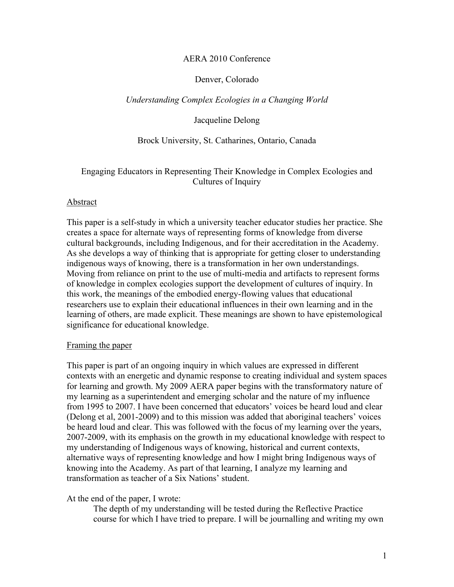#### AERA 2010 Conference

## Denver, Colorado

## *Understanding Complex Ecologies in a Changing World*

#### Jacqueline Delong

## Brock University, St. Catharines, Ontario, Canada

# Engaging Educators in Representing Their Knowledge in Complex Ecologies and Cultures of Inquiry

#### Abstract

This paper is a self-study in which a university teacher educator studies her practice. She creates a space for alternate ways of representing forms of knowledge from diverse cultural backgrounds, including Indigenous, and for their accreditation in the Academy. As she develops a way of thinking that is appropriate for getting closer to understanding indigenous ways of knowing, there is a transformation in her own understandings. Moving from reliance on print to the use of multi-media and artifacts to represent forms of knowledge in complex ecologies support the development of cultures of inquiry. In this work, the meanings of the embodied energy-flowing values that educational researchers use to explain their educational influences in their own learning and in the learning of others, are made explicit. These meanings are shown to have epistemological significance for educational knowledge.

#### Framing the paper

This paper is part of an ongoing inquiry in which values are expressed in different contexts with an energetic and dynamic response to creating individual and system spaces for learning and growth. My 2009 AERA paper begins with the transformatory nature of my learning as a superintendent and emerging scholar and the nature of my influence from 1995 to 2007. I have been concerned that educators' voices be heard loud and clear (Delong et al, 2001-2009) and to this mission was added that aboriginal teachers' voices be heard loud and clear. This was followed with the focus of my learning over the years, 2007-2009, with its emphasis on the growth in my educational knowledge with respect to my understanding of Indigenous ways of knowing, historical and current contexts, alternative ways of representing knowledge and how I might bring Indigenous ways of knowing into the Academy. As part of that learning, I analyze my learning and transformation as teacher of a Six Nations' student.

#### At the end of the paper, I wrote:

The depth of my understanding will be tested during the Reflective Practice course for which I have tried to prepare. I will be journalling and writing my own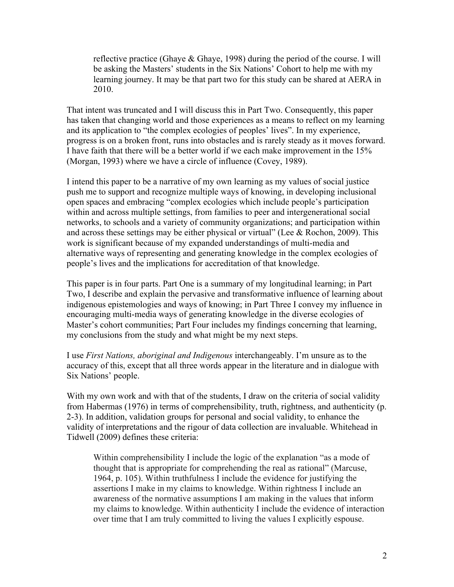reflective practice (Ghaye & Ghaye, 1998) during the period of the course. I will be asking the Masters' students in the Six Nations' Cohort to help me with my learning journey. It may be that part two for this study can be shared at AERA in 2010.

That intent was truncated and I will discuss this in Part Two. Consequently, this paper has taken that changing world and those experiences as a means to reflect on my learning and its application to "the complex ecologies of peoples' lives". In my experience, progress is on a broken front, runs into obstacles and is rarely steady as it moves forward. I have faith that there will be a better world if we each make improvement in the 15% (Morgan, 1993) where we have a circle of influence (Covey, 1989).

I intend this paper to be a narrative of my own learning as my values of social justice push me to support and recognize multiple ways of knowing, in developing inclusional open spaces and embracing "complex ecologies which include people's participation within and across multiple settings, from families to peer and intergenerational social networks, to schools and a variety of community organizations; and participation within and across these settings may be either physical or virtual" (Lee  $& Rochon, 2009$ ). This work is significant because of my expanded understandings of multi-media and alternative ways of representing and generating knowledge in the complex ecologies of people's lives and the implications for accreditation of that knowledge.

This paper is in four parts. Part One is a summary of my longitudinal learning; in Part Two, I describe and explain the pervasive and transformative influence of learning about indigenous epistemologies and ways of knowing; in Part Three I convey my influence in encouraging multi-media ways of generating knowledge in the diverse ecologies of Master's cohort communities; Part Four includes my findings concerning that learning, my conclusions from the study and what might be my next steps.

I use *First Nations, aboriginal and Indigenous* interchangeably. I'm unsure as to the accuracy of this, except that all three words appear in the literature and in dialogue with Six Nations' people.

With my own work and with that of the students, I draw on the criteria of social validity from Habermas (1976) in terms of comprehensibility, truth, rightness, and authenticity (p. 2-3). In addition, validation groups for personal and social validity, to enhance the validity of interpretations and the rigour of data collection are invaluable. Whitehead in Tidwell (2009) defines these criteria:

Within comprehensibility I include the logic of the explanation "as a mode of thought that is appropriate for comprehending the real as rational" (Marcuse, 1964, p. 105). Within truthfulness I include the evidence for justifying the assertions I make in my claims to knowledge. Within rightness I include an awareness of the normative assumptions I am making in the values that inform my claims to knowledge. Within authenticity I include the evidence of interaction over time that I am truly committed to living the values I explicitly espouse.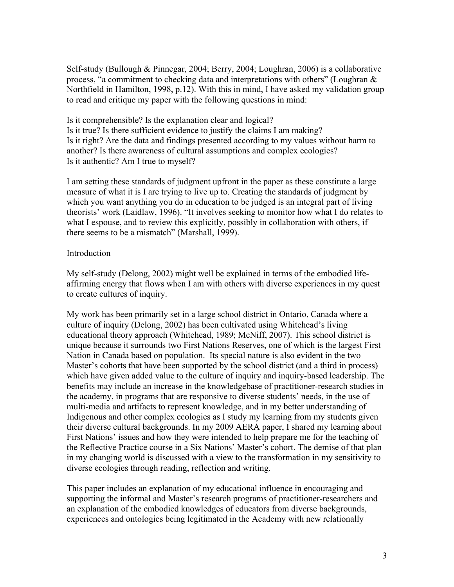Self-study (Bullough & Pinnegar, 2004; Berry, 2004; Loughran, 2006) is a collaborative process, "a commitment to checking data and interpretations with others" (Loughran & Northfield in Hamilton, 1998, p.12). With this in mind, I have asked my validation group to read and critique my paper with the following questions in mind:

Is it comprehensible? Is the explanation clear and logical? Is it true? Is there sufficient evidence to justify the claims I am making? Is it right? Are the data and findings presented according to my values without harm to another? Is there awareness of cultural assumptions and complex ecologies? Is it authentic? Am I true to myself?

I am setting these standards of judgment upfront in the paper as these constitute a large measure of what it is I are trying to live up to. Creating the standards of judgment by which you want anything you do in education to be judged is an integral part of living theorists' work (Laidlaw, 1996). "It involves seeking to monitor how what I do relates to what I espouse, and to review this explicitly, possibly in collaboration with others, if there seems to be a mismatch" (Marshall, 1999).

## Introduction

My self-study (Delong, 2002) might well be explained in terms of the embodied lifeaffirming energy that flows when I am with others with diverse experiences in my quest to create cultures of inquiry.

My work has been primarily set in a large school district in Ontario, Canada where a culture of inquiry (Delong, 2002) has been cultivated using Whitehead's living educational theory approach (Whitehead, 1989; McNiff, 2007). This school district is unique because it surrounds two First Nations Reserves, one of which is the largest First Nation in Canada based on population. Its special nature is also evident in the two Master's cohorts that have been supported by the school district (and a third in process) which have given added value to the culture of inquiry and inquiry-based leadership. The benefits may include an increase in the knowledgebase of practitioner-research studies in the academy, in programs that are responsive to diverse students' needs, in the use of multi-media and artifacts to represent knowledge, and in my better understanding of Indigenous and other complex ecologies as I study my learning from my students given their diverse cultural backgrounds. In my 2009 AERA paper, I shared my learning about First Nations' issues and how they were intended to help prepare me for the teaching of the Reflective Practice course in a Six Nations' Master's cohort. The demise of that plan in my changing world is discussed with a view to the transformation in my sensitivity to diverse ecologies through reading, reflection and writing.

This paper includes an explanation of my educational influence in encouraging and supporting the informal and Master's research programs of practitioner-researchers and an explanation of the embodied knowledges of educators from diverse backgrounds, experiences and ontologies being legitimated in the Academy with new relationally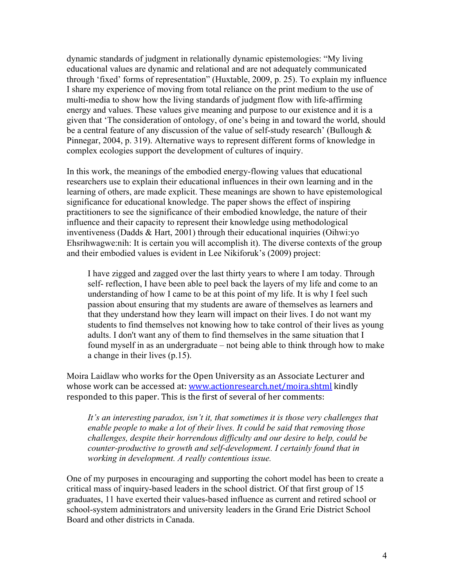dynamic standards of judgment in relationally dynamic epistemologies: "My living educational values are dynamic and relational and are not adequately communicated through 'fixed' forms of representation" (Huxtable, 2009, p. 25). To explain my influence I share my experience of moving from total reliance on the print medium to the use of multi-media to show how the living standards of judgment flow with life-affirming energy and values. These values give meaning and purpose to our existence and it is a given that 'The consideration of ontology, of one's being in and toward the world, should be a central feature of any discussion of the value of self-study research' (Bullough & Pinnegar, 2004, p. 319). Alternative ways to represent different forms of knowledge in complex ecologies support the development of cultures of inquiry.

In this work, the meanings of the embodied energy-flowing values that educational researchers use to explain their educational influences in their own learning and in the learning of others, are made explicit. These meanings are shown to have epistemological significance for educational knowledge. The paper shows the effect of inspiring practitioners to see the significance of their embodied knowledge, the nature of their influence and their capacity to represent their knowledge using methodological inventiveness (Dadds & Hart, 2001) through their educational inquiries (Oihwi:yo Ehsrihwagwe:nih: It is certain you will accomplish it). The diverse contexts of the group and their embodied values is evident in Lee Nikiforuk's (2009) project:

I have zigged and zagged over the last thirty years to where I am today. Through self- reflection, I have been able to peel back the layers of my life and come to an understanding of how I came to be at this point of my life. It is why I feel such passion about ensuring that my students are aware of themselves as learners and that they understand how they learn will impact on their lives. I do not want my students to find themselves not knowing how to take control of their lives as young adults. I don't want any of them to find themselves in the same situation that I found myself in as an undergraduate – not being able to think through how to make a change in their lives (p.15).

Moira Laidlaw who works for the Open University as an Associate Lecturer and whose work can be accessed at: www.actionresearch.net/moira.shtml kindly responded to this paper. This is the first of several of her comments:

*It's an interesting paradox, isn't it, that sometimes it is those very challenges that enable people to make a lot of their lives. It could be said that removing those challenges, despite their horrendous difficulty and our desire to help, could be counter-productive to growth and self-development. I certainly found that in working in development. A really contentious issue.* 

One of my purposes in encouraging and supporting the cohort model has been to create a critical mass of inquiry-based leaders in the school district. Of that first group of 15 graduates, 11 have exerted their values-based influence as current and retired school or school-system administrators and university leaders in the Grand Erie District School Board and other districts in Canada.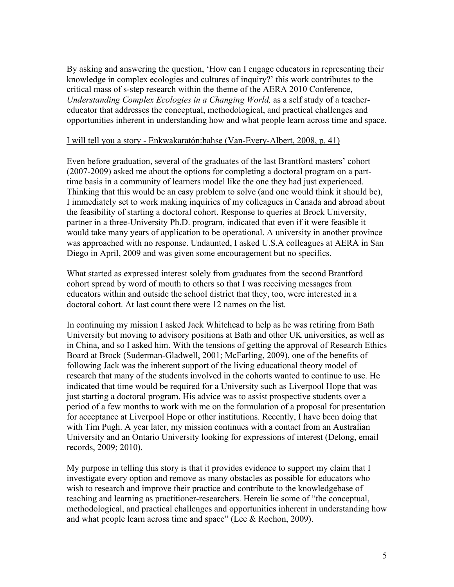By asking and answering the question, 'How can I engage educators in representing their knowledge in complex ecologies and cultures of inquiry?' this work contributes to the critical mass of s-step research within the theme of the AERA 2010 Conference, *Understanding Complex Ecologies in a Changing World,* as a self study of a teachereducator that addresses the conceptual, methodological, and practical challenges and opportunities inherent in understanding how and what people learn across time and space.

#### I will tell you a story - Enkwakaratón:hahse (Van-Every-Albert, 2008, p. 41)

Even before graduation, several of the graduates of the last Brantford masters' cohort (2007-2009) asked me about the options for completing a doctoral program on a parttime basis in a community of learners model like the one they had just experienced. Thinking that this would be an easy problem to solve (and one would think it should be), I immediately set to work making inquiries of my colleagues in Canada and abroad about the feasibility of starting a doctoral cohort. Response to queries at Brock University, partner in a three-University Ph.D. program, indicated that even if it were feasible it would take many years of application to be operational. A university in another province was approached with no response. Undaunted, I asked U.S.A colleagues at AERA in San Diego in April, 2009 and was given some encouragement but no specifics.

What started as expressed interest solely from graduates from the second Brantford cohort spread by word of mouth to others so that I was receiving messages from educators within and outside the school district that they, too, were interested in a doctoral cohort. At last count there were 12 names on the list.

In continuing my mission I asked Jack Whitehead to help as he was retiring from Bath University but moving to advisory positions at Bath and other UK universities, as well as in China, and so I asked him. With the tensions of getting the approval of Research Ethics Board at Brock (Suderman-Gladwell, 2001; McFarling, 2009), one of the benefits of following Jack was the inherent support of the living educational theory model of research that many of the students involved in the cohorts wanted to continue to use. He indicated that time would be required for a University such as Liverpool Hope that was just starting a doctoral program. His advice was to assist prospective students over a period of a few months to work with me on the formulation of a proposal for presentation for acceptance at Liverpool Hope or other institutions. Recently, I have been doing that with Tim Pugh. A year later, my mission continues with a contact from an Australian University and an Ontario University looking for expressions of interest (Delong, email records, 2009; 2010).

My purpose in telling this story is that it provides evidence to support my claim that I investigate every option and remove as many obstacles as possible for educators who wish to research and improve their practice and contribute to the knowledgebase of teaching and learning as practitioner-researchers. Herein lie some of "the conceptual, methodological, and practical challenges and opportunities inherent in understanding how and what people learn across time and space" (Lee & Rochon, 2009).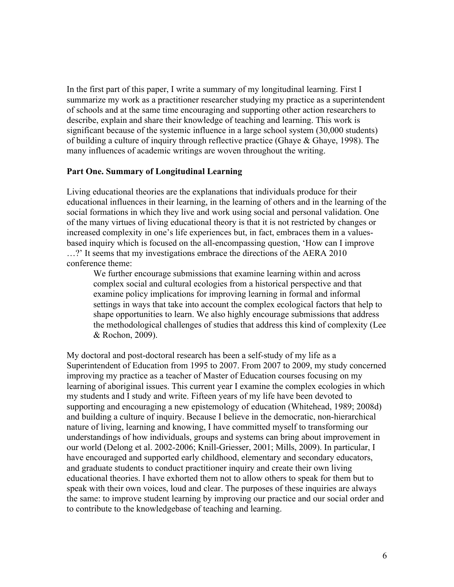In the first part of this paper, I write a summary of my longitudinal learning. First I summarize my work as a practitioner researcher studying my practice as a superintendent of schools and at the same time encouraging and supporting other action researchers to describe, explain and share their knowledge of teaching and learning. This work is significant because of the systemic influence in a large school system (30,000 students) of building a culture of inquiry through reflective practice (Ghaye & Ghaye, 1998). The many influences of academic writings are woven throughout the writing.

#### **Part One. Summary of Longitudinal Learning**

Living educational theories are the explanations that individuals produce for their educational influences in their learning, in the learning of others and in the learning of the social formations in which they live and work using social and personal validation. One of the many virtues of living educational theory is that it is not restricted by changes or increased complexity in one's life experiences but, in fact, embraces them in a valuesbased inquiry which is focused on the all-encompassing question, 'How can I improve …?' It seems that my investigations embrace the directions of the AERA 2010 conference theme:

We further encourage submissions that examine learning within and across complex social and cultural ecologies from a historical perspective and that examine policy implications for improving learning in formal and informal settings in ways that take into account the complex ecological factors that help to shape opportunities to learn. We also highly encourage submissions that address the methodological challenges of studies that address this kind of complexity (Lee & Rochon, 2009).

My doctoral and post-doctoral research has been a self-study of my life as a Superintendent of Education from 1995 to 2007. From 2007 to 2009, my study concerned improving my practice as a teacher of Master of Education courses focusing on my learning of aboriginal issues. This current year I examine the complex ecologies in which my students and I study and write. Fifteen years of my life have been devoted to supporting and encouraging a new epistemology of education (Whitehead, 1989; 2008d) and building a culture of inquiry. Because I believe in the democratic, non-hierarchical nature of living, learning and knowing, I have committed myself to transforming our understandings of how individuals, groups and systems can bring about improvement in our world (Delong et al. 2002-2006; Knill-Griesser, 2001; Mills, 2009). In particular, I have encouraged and supported early childhood, elementary and secondary educators, and graduate students to conduct practitioner inquiry and create their own living educational theories. I have exhorted them not to allow others to speak for them but to speak with their own voices, loud and clear. The purposes of these inquiries are always the same: to improve student learning by improving our practice and our social order and to contribute to the knowledgebase of teaching and learning.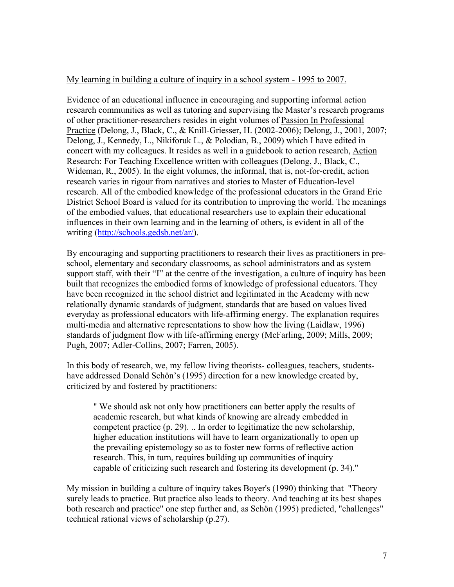## My learning in building a culture of inquiry in a school system - 1995 to 2007.

Evidence of an educational influence in encouraging and supporting informal action research communities as well as tutoring and supervising the Master's research programs of other practitioner-researchers resides in eight volumes of Passion In Professional Practice (Delong, J., Black, C., & Knill-Griesser, H. (2002-2006); Delong, J., 2001, 2007; Delong, J., Kennedy, L., Nikiforuk L., & Polodian, B., 2009) which I have edited in concert with my colleagues. It resides as well in a guidebook to action research, Action Research: For Teaching Excellence written with colleagues (Delong, J., Black, C., Wideman, R., 2005). In the eight volumes, the informal, that is, not-for-credit, action research varies in rigour from narratives and stories to Master of Education-level research. All of the embodied knowledge of the professional educators in the Grand Erie District School Board is valued for its contribution to improving the world. The meanings of the embodied values, that educational researchers use to explain their educational influences in their own learning and in the learning of others, is evident in all of the writing (http://schools.gedsb.net/ar/).

By encouraging and supporting practitioners to research their lives as practitioners in preschool, elementary and secondary classrooms, as school administrators and as system support staff, with their "I" at the centre of the investigation, a culture of inquiry has been built that recognizes the embodied forms of knowledge of professional educators. They have been recognized in the school district and legitimated in the Academy with new relationally dynamic standards of judgment, standards that are based on values lived everyday as professional educators with life-affirming energy. The explanation requires multi-media and alternative representations to show how the living (Laidlaw, 1996) standards of judgment flow with life-affirming energy (McFarling, 2009; Mills, 2009; Pugh, 2007; Adler-Collins, 2007; Farren, 2005).

In this body of research, we, my fellow living theorists- colleagues, teachers, studentshave addressed Donald Schön's (1995) direction for a new knowledge created by, criticized by and fostered by practitioners:

" We should ask not only how practitioners can better apply the results of academic research, but what kinds of knowing are already embedded in competent practice (p. 29). .. In order to legitimatize the new scholarship, higher education institutions will have to learn organizationally to open up the prevailing epistemology so as to foster new forms of reflective action research. This, in turn, requires building up communities of inquiry capable of criticizing such research and fostering its development (p. 34)."

My mission in building a culture of inquiry takes Boyer's (1990) thinking that "Theory surely leads to practice. But practice also leads to theory. And teaching at its best shapes both research and practice" one step further and, as Schön (1995) predicted, "challenges" technical rational views of scholarship (p.27).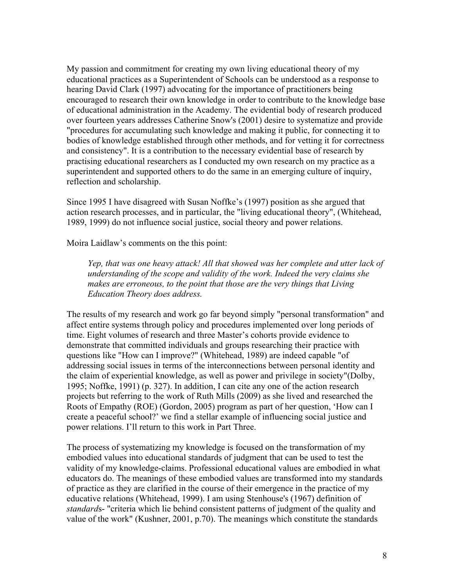My passion and commitment for creating my own living educational theory of my educational practices as a Superintendent of Schools can be understood as a response to hearing David Clark (1997) advocating for the importance of practitioners being encouraged to research their own knowledge in order to contribute to the knowledge base of educational administration in the Academy. The evidential body of research produced over fourteen years addresses Catherine Snow's (2001) desire to systematize and provide "procedures for accumulating such knowledge and making it public, for connecting it to bodies of knowledge established through other methods, and for vetting it for correctness and consistency". It is a contribution to the necessary evidential base of research by practising educational researchers as I conducted my own research on my practice as a superintendent and supported others to do the same in an emerging culture of inquiry, reflection and scholarship.

Since 1995 I have disagreed with Susan Noffke's (1997) position as she argued that action research processes, and in particular, the "living educational theory", (Whitehead, 1989, 1999) do not influence social justice, social theory and power relations.

Moira Laidlaw's comments on the this point:

*Yep, that was one heavy attack! All that showed was her complete and utter lack of understanding of the scope and validity of the work. Indeed the very claims she makes are erroneous, to the point that those are the very things that Living Education Theory does address.*

The results of my research and work go far beyond simply "personal transformation" and affect entire systems through policy and procedures implemented over long periods of time. Eight volumes of research and three Master's cohorts provide evidence to demonstrate that committed individuals and groups researching their practice with questions like "How can I improve?" (Whitehead, 1989) are indeed capable "of addressing social issues in terms of the interconnections between personal identity and the claim of experiential knowledge, as well as power and privilege in society"(Dolby, 1995; Noffke, 1991) (p. 327). In addition, I can cite any one of the action research projects but referring to the work of Ruth Mills (2009) as she lived and researched the Roots of Empathy (ROE) (Gordon, 2005) program as part of her question, 'How can I create a peaceful school?' we find a stellar example of influencing social justice and power relations. I'll return to this work in Part Three.

The process of systematizing my knowledge is focused on the transformation of my embodied values into educational standards of judgment that can be used to test the validity of my knowledge-claims. Professional educational values are embodied in what educators do. The meanings of these embodied values are transformed into my standards of practice as they are clarified in the course of their emergence in the practice of my educative relations (Whitehead, 1999). I am using Stenhouse's (1967) definition of *standard*s- "criteria which lie behind consistent patterns of judgment of the quality and value of the work" (Kushner, 2001, p.70). The meanings which constitute the standards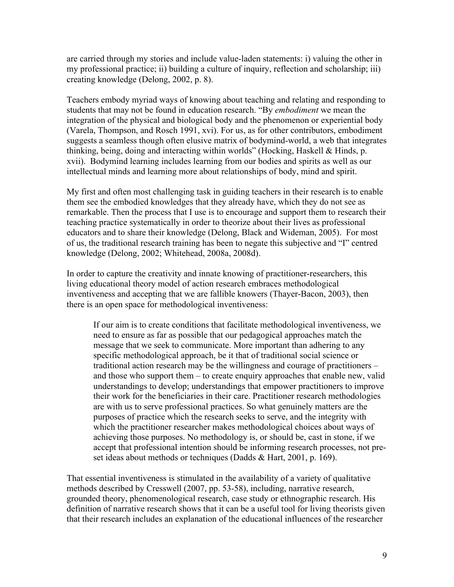are carried through my stories and include value-laden statements: i) valuing the other in my professional practice; ii) building a culture of inquiry, reflection and scholarship; iii) creating knowledge (Delong, 2002, p. 8).

Teachers embody myriad ways of knowing about teaching and relating and responding to students that may not be found in education research. "By *embodiment* we mean the integration of the physical and biological body and the phenomenon or experiential body (Varela, Thompson, and Rosch 1991, xvi). For us, as for other contributors, embodiment suggests a seamless though often elusive matrix of bodymind-world, a web that integrates thinking, being, doing and interacting within worlds" (Hocking, Haskell & Hinds, p. xvii). Bodymind learning includes learning from our bodies and spirits as well as our intellectual minds and learning more about relationships of body, mind and spirit.

My first and often most challenging task in guiding teachers in their research is to enable them see the embodied knowledges that they already have, which they do not see as remarkable. Then the process that I use is to encourage and support them to research their teaching practice systematically in order to theorize about their lives as professional educators and to share their knowledge (Delong, Black and Wideman, 2005). For most of us, the traditional research training has been to negate this subjective and "I" centred knowledge (Delong, 2002; Whitehead, 2008a, 2008d).

In order to capture the creativity and innate knowing of practitioner-researchers, this living educational theory model of action research embraces methodological inventiveness and accepting that we are fallible knowers (Thayer-Bacon, 2003), then there is an open space for methodological inventiveness:

If our aim is to create conditions that facilitate methodological inventiveness, we need to ensure as far as possible that our pedagogical approaches match the message that we seek to communicate. More important than adhering to any specific methodological approach, be it that of traditional social science or traditional action research may be the willingness and courage of practitioners – and those who support them – to create enquiry approaches that enable new, valid understandings to develop; understandings that empower practitioners to improve their work for the beneficiaries in their care. Practitioner research methodologies are with us to serve professional practices. So what genuinely matters are the purposes of practice which the research seeks to serve, and the integrity with which the practitioner researcher makes methodological choices about ways of achieving those purposes. No methodology is, or should be, cast in stone, if we accept that professional intention should be informing research processes, not preset ideas about methods or techniques (Dadds & Hart, 2001, p. 169).

That essential inventiveness is stimulated in the availability of a variety of qualitative methods described by Cresswell (2007, pp. 53-58), including, narrative research, grounded theory, phenomenological research, case study or ethnographic research. His definition of narrative research shows that it can be a useful tool for living theorists given that their research includes an explanation of the educational influences of the researcher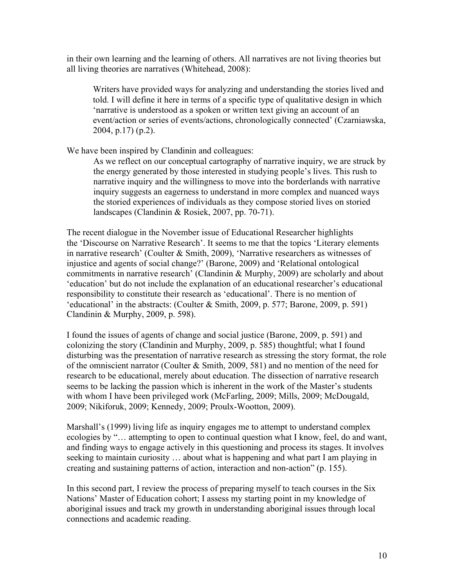in their own learning and the learning of others. All narratives are not living theories but all living theories are narratives (Whitehead, 2008):

Writers have provided ways for analyzing and understanding the stories lived and told. I will define it here in terms of a specific type of qualitative design in which 'narrative is understood as a spoken or written text giving an account of an event/action or series of events/actions, chronologically connected' (Czarniawska, 2004, p.17) (p.2).

We have been inspired by Clandinin and colleagues:

As we reflect on our conceptual cartography of narrative inquiry, we are struck by the energy generated by those interested in studying people's lives. This rush to narrative inquiry and the willingness to move into the borderlands with narrative inquiry suggests an eagerness to understand in more complex and nuanced ways the storied experiences of individuals as they compose storied lives on storied landscapes (Clandinin & Rosiek, 2007, pp. 70-71).

The recent dialogue in the November issue of Educational Researcher highlights the 'Discourse on Narrative Research'. It seems to me that the topics 'Literary elements in narrative research' (Coulter & Smith, 2009), 'Narrative researchers as witnesses of injustice and agents of social change?' (Barone, 2009) and 'Relational ontological commitments in narrative research' (Clandinin & Murphy, 2009) are scholarly and about 'education' but do not include the explanation of an educational researcher's educational responsibility to constitute their research as 'educational'. There is no mention of 'educational' in the abstracts: (Coulter & Smith, 2009, p. 577; Barone, 2009, p. 591) Clandinin & Murphy, 2009, p. 598).

I found the issues of agents of change and social justice (Barone, 2009, p. 591) and colonizing the story (Clandinin and Murphy, 2009, p. 585) thoughtful; what I found disturbing was the presentation of narrative research as stressing the story format, the role of the omniscient narrator (Coulter & Smith, 2009, 581) and no mention of the need for research to be educational, merely about education. The dissection of narrative research seems to be lacking the passion which is inherent in the work of the Master's students with whom I have been privileged work (McFarling, 2009; Mills, 2009; McDougald, 2009; Nikiforuk, 2009; Kennedy, 2009; Proulx-Wootton, 2009).

Marshall's (1999) living life as inquiry engages me to attempt to understand complex ecologies by "… attempting to open to continual question what I know, feel, do and want, and finding ways to engage actively in this questioning and process its stages. It involves seeking to maintain curiosity … about what is happening and what part I am playing in creating and sustaining patterns of action, interaction and non-action" (p. 155).

In this second part, I review the process of preparing myself to teach courses in the Six Nations' Master of Education cohort; I assess my starting point in my knowledge of aboriginal issues and track my growth in understanding aboriginal issues through local connections and academic reading.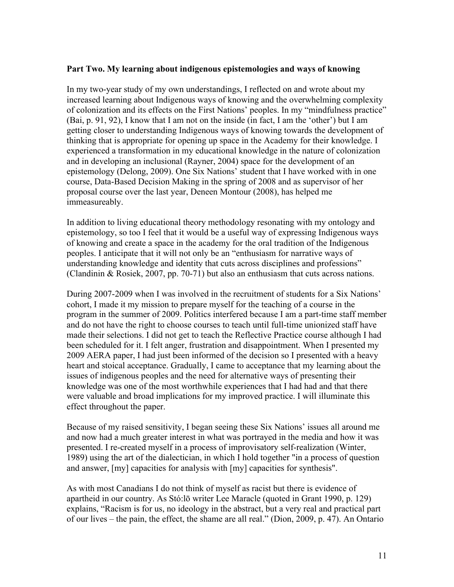#### **Part Two. My learning about indigenous epistemologies and ways of knowing**

In my two-year study of my own understandings, I reflected on and wrote about my increased learning about Indigenous ways of knowing and the overwhelming complexity of colonization and its effects on the First Nations' peoples. In my "mindfulness practice" (Bai, p. 91, 92), I know that I am not on the inside (in fact, I am the 'other') but I am getting closer to understanding Indigenous ways of knowing towards the development of thinking that is appropriate for opening up space in the Academy for their knowledge. I experienced a transformation in my educational knowledge in the nature of colonization and in developing an inclusional (Rayner, 2004) space for the development of an epistemology (Delong, 2009). One Six Nations' student that I have worked with in one course, Data-Based Decision Making in the spring of 2008 and as supervisor of her proposal course over the last year, Deneen Montour (2008), has helped me immeasureably.

In addition to living educational theory methodology resonating with my ontology and epistemology, so too I feel that it would be a useful way of expressing Indigenous ways of knowing and create a space in the academy for the oral tradition of the Indigenous peoples. I anticipate that it will not only be an "enthusiasm for narrative ways of understanding knowledge and identity that cuts across disciplines and professions" (Clandinin & Rosiek, 2007, pp. 70-71) but also an enthusiasm that cuts across nations.

During 2007-2009 when I was involved in the recruitment of students for a Six Nations' cohort, I made it my mission to prepare myself for the teaching of a course in the program in the summer of 2009. Politics interfered because I am a part-time staff member and do not have the right to choose courses to teach until full-time unionized staff have made their selections. I did not get to teach the Reflective Practice course although I had been scheduled for it. I felt anger, frustration and disappointment. When I presented my 2009 AERA paper, I had just been informed of the decision so I presented with a heavy heart and stoical acceptance. Gradually, I came to acceptance that my learning about the issues of indigenous peoples and the need for alternative ways of presenting their knowledge was one of the most worthwhile experiences that I had had and that there were valuable and broad implications for my improved practice. I will illuminate this effect throughout the paper.

Because of my raised sensitivity, I began seeing these Six Nations' issues all around me and now had a much greater interest in what was portrayed in the media and how it was presented. I re-created myself in a process of improvisatory self-realization (Winter, 1989) using the art of the dialectician, in which I hold together "in a process of question and answer, [my] capacities for analysis with [my] capacities for synthesis".

As with most Canadians I do not think of myself as racist but there is evidence of apartheid in our country. As Stó:lō writer Lee Maracle (quoted in Grant 1990, p. 129) explains, "Racism is for us, no ideology in the abstract, but a very real and practical part of our lives – the pain, the effect, the shame are all real." (Dion, 2009, p. 47). An Ontario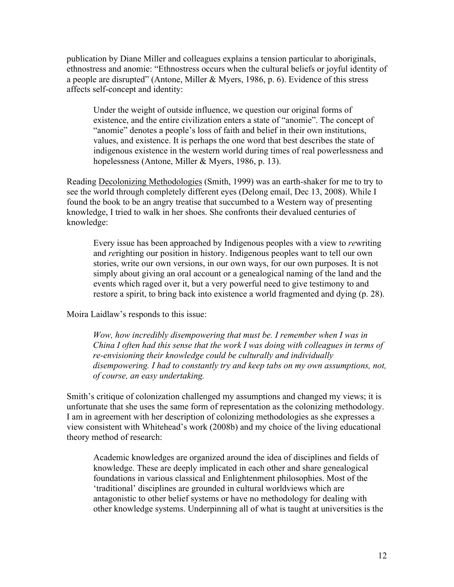publication by Diane Miller and colleagues explains a tension particular to aboriginals, ethnostress and anomie: "Ethnostress occurs when the cultural beliefs or joyful identity of a people are disrupted" (Antone, Miller & Myers, 1986, p. 6). Evidence of this stress affects self-concept and identity:

Under the weight of outside influence, we question our original forms of existence, and the entire civilization enters a state of "anomie". The concept of "anomie" denotes a people's loss of faith and belief in their own institutions, values, and existence. It is perhaps the one word that best describes the state of indigenous existence in the western world during times of real powerlessness and hopelessness (Antone, Miller & Myers, 1986, p. 13).

Reading Decolonizing Methodologies (Smith, 1999) was an earth-shaker for me to try to see the world through completely different eyes (Delong email, Dec 13, 2008). While I found the book to be an angry treatise that succumbed to a Western way of presenting knowledge, I tried to walk in her shoes. She confronts their devalued centuries of knowledge:

Every issue has been approached by Indigenous peoples with a view to *re*writing and *re*righting our position in history. Indigenous peoples want to tell our own stories, write our own versions, in our own ways, for our own purposes. It is not simply about giving an oral account or a genealogical naming of the land and the events which raged over it, but a very powerful need to give testimony to and restore a spirit, to bring back into existence a world fragmented and dying (p. 28).

Moira Laidlaw's responds to this issue:

*Wow, how incredibly disempowering that must be. I remember when I was in China I often had this sense that the work I was doing with colleagues in terms of re-envisioning their knowledge could be culturally and individually disempowering. I had to constantly try and keep tabs on my own assumptions, not, of course, an easy undertaking.*

Smith's critique of colonization challenged my assumptions and changed my views; it is unfortunate that she uses the same form of representation as the colonizing methodology. I am in agreement with her description of colonizing methodologies as she expresses a view consistent with Whitehead's work (2008b) and my choice of the living educational theory method of research:

Academic knowledges are organized around the idea of disciplines and fields of knowledge. These are deeply implicated in each other and share genealogical foundations in various classical and Enlightenment philosophies. Most of the 'traditional' disciplines are grounded in cultural worldviews which are antagonistic to other belief systems or have no methodology for dealing with other knowledge systems. Underpinning all of what is taught at universities is the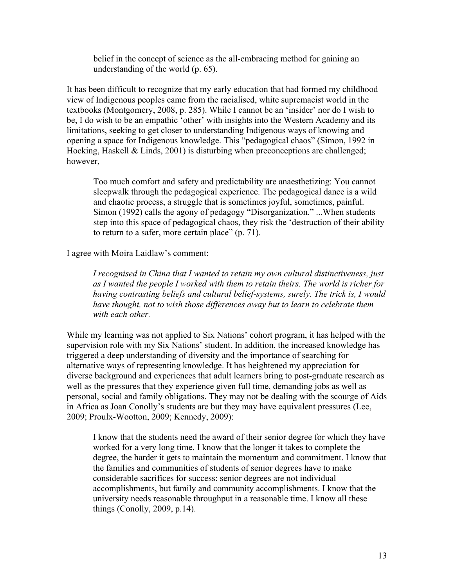belief in the concept of science as the all-embracing method for gaining an understanding of the world (p. 65).

It has been difficult to recognize that my early education that had formed my childhood view of Indigenous peoples came from the racialised, white supremacist world in the textbooks (Montgomery, 2008, p. 285). While I cannot be an 'insider' nor do I wish to be, I do wish to be an empathic 'other' with insights into the Western Academy and its limitations, seeking to get closer to understanding Indigenous ways of knowing and opening a space for Indigenous knowledge. This "pedagogical chaos" (Simon, 1992 in Hocking, Haskell & Linds, 2001) is disturbing when preconceptions are challenged; however,

Too much comfort and safety and predictability are anaesthetizing: You cannot sleepwalk through the pedagogical experience. The pedagogical dance is a wild and chaotic process, a struggle that is sometimes joyful, sometimes, painful. Simon (1992) calls the agony of pedagogy "Disorganization." ...When students step into this space of pedagogical chaos, they risk the 'destruction of their ability to return to a safer, more certain place" (p. 71).

I agree with Moira Laidlaw's comment:

*I recognised in China that I wanted to retain my own cultural distinctiveness, just as I wanted the people I worked with them to retain theirs. The world is richer for having contrasting beliefs and cultural belief-systems, surely. The trick is, I would have thought, not to wish those differences away but to learn to celebrate them with each other*.

While my learning was not applied to Six Nations' cohort program, it has helped with the supervision role with my Six Nations' student. In addition, the increased knowledge has triggered a deep understanding of diversity and the importance of searching for alternative ways of representing knowledge. It has heightened my appreciation for diverse background and experiences that adult learners bring to post-graduate research as well as the pressures that they experience given full time, demanding jobs as well as personal, social and family obligations. They may not be dealing with the scourge of Aids in Africa as Joan Conolly's students are but they may have equivalent pressures (Lee, 2009; Proulx-Wootton, 2009; Kennedy, 2009):

I know that the students need the award of their senior degree for which they have worked for a very long time. I know that the longer it takes to complete the degree, the harder it gets to maintain the momentum and commitment. I know that the families and communities of students of senior degrees have to make considerable sacrifices for success: senior degrees are not individual accomplishments, but family and community accomplishments. I know that the university needs reasonable throughput in a reasonable time. I know all these things (Conolly, 2009, p.14).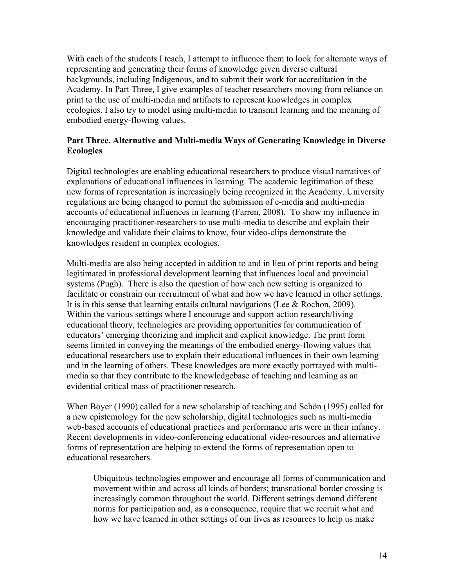With each of the students I teach, I attempt to influence them to look for alternate ways of representing and generating their forms of knowledge given diverse cultural backgrounds, including Indigenous, and to submit their work for accreditation in the Academy. In Part Three, I give examples of teacher researchers moving from reliance on print to the use of multi-media and artifacts to represent knowledges in complex ecologies. I also try to model using multi-media to transmit learning and the meaning of embodied energy-flowing values.

# **Part Three. Alternative and Multi-media Ways of Generating Knowledge in Diverse Ecologies**

Digital technologies are enabling educational researchers to produce visual narratives of explanations of educational influences in learning. The academic legitimation of these new forms of representation is increasingly being recognized in the Academy. University regulations are being changed to permit the submission of e-media and multi-media accounts of educational influences in learning (Farren, 2008). To show my influence in encouraging practitioner-researchers to use multi-media to describe and explain their knowledge and validate their claims to know, four video-clips demonstrate the knowledges resident in complex ecologies.

Multi-media are also being accepted in addition to and in lieu of print reports and being legitimated in professional development learning that influences local and provincial systems (Pugh). There is also the question of how each new setting is organized to facilitate or constrain our recruitment of what and how we have learned in other settings. It is in this sense that learning entails cultural navigations (Lee & Rochon, 2009). Within the various settings where I encourage and support action research/living educational theory, technologies are providing opportunities for communication of educators' emerging theorizing and implicit and explicit knowledge. The print form seems limited in conveying the meanings of the embodied energy-flowing values that educational researchers use to explain their educational influences in their own learning and in the learning of others. These knowledges are more exactly portrayed with multimedia so that they contribute to the knowledgebase of teaching and learning as an evidential critical mass of practitioner research.

When Boyer (1990) called for a new scholarship of teaching and Schön (1995) called for a new epistemology for the new scholarship, digital technologies such as multi-media web-based accounts of educational practices and performance arts were in their infancy. Recent developments in video-conferencing educational video-resources and alternative forms of representation are helping to extend the forms of representation open to educational researchers.

Ubiquitous technologies empower and encourage all forms of communication and movement within and across all kinds of borders; transnational border crossing is increasingly common throughout the world. Different settings demand different norms for participation and, as a consequence, require that we recruit what and how we have learned in other settings of our lives as resources to help us make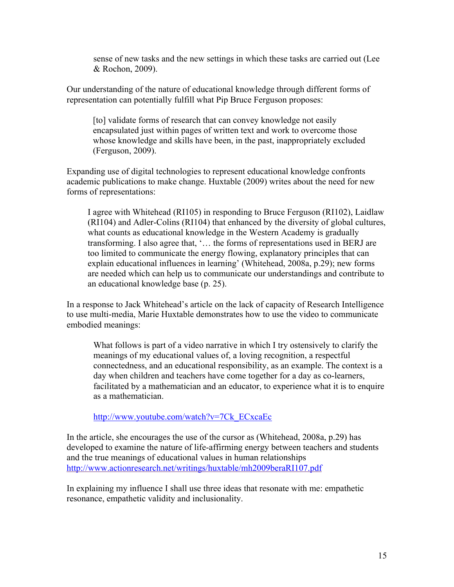sense of new tasks and the new settings in which these tasks are carried out (Lee & Rochon, 2009).

Our understanding of the nature of educational knowledge through different forms of representation can potentially fulfill what Pip Bruce Ferguson proposes:

[to] validate forms of research that can convey knowledge not easily encapsulated just within pages of written text and work to overcome those whose knowledge and skills have been, in the past, inappropriately excluded (Ferguson, 2009).

Expanding use of digital technologies to represent educational knowledge confronts academic publications to make change. Huxtable (2009) writes about the need for new forms of representations:

I agree with Whitehead (RI105) in responding to Bruce Ferguson (RI102), Laidlaw (RI104) and Adler-Colins (RI104) that enhanced by the diversity of global cultures, what counts as educational knowledge in the Western Academy is gradually transforming. I also agree that, '… the forms of representations used in BERJ are too limited to communicate the energy flowing, explanatory principles that can explain educational influences in learning' (Whitehead, 2008a, p.29); new forms are needed which can help us to communicate our understandings and contribute to an educational knowledge base (p. 25).

In a response to Jack Whitehead's article on the lack of capacity of Research Intelligence to use multi-media, Marie Huxtable demonstrates how to use the video to communicate embodied meanings:

What follows is part of a video narrative in which I try ostensively to clarify the meanings of my educational values of, a loving recognition, a respectful connectedness, and an educational responsibility, as an example. The context is a day when children and teachers have come together for a day as co-learners, facilitated by a mathematician and an educator, to experience what it is to enquire as a mathematician.

http://www.youtube.com/watch?v=7Ck\_ECxcaEc

In the article, she encourages the use of the cursor as (Whitehead, 2008a, p.29) has developed to examine the nature of life-affirming energy between teachers and students and the true meanings of educational values in human relationships http://www.actionresearch.net/writings/huxtable/mh2009beraRI107.pdf

In explaining my influence I shall use three ideas that resonate with me: empathetic resonance, empathetic validity and inclusionality.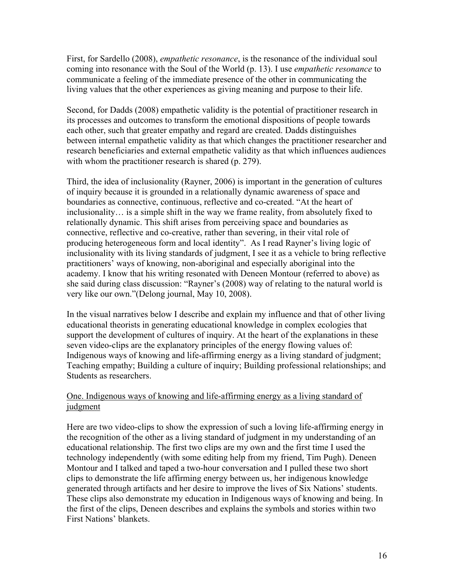First, for Sardello (2008), *empathetic resonance*, is the resonance of the individual soul coming into resonance with the Soul of the World (p. 13). I use *empathetic resonance* to communicate a feeling of the immediate presence of the other in communicating the living values that the other experiences as giving meaning and purpose to their life.

Second, for Dadds (2008) empathetic validity is the potential of practitioner research in its processes and outcomes to transform the emotional dispositions of people towards each other, such that greater empathy and regard are created. Dadds distinguishes between internal empathetic validity as that which changes the practitioner researcher and research beneficiaries and external empathetic validity as that which influences audiences with whom the practitioner research is shared (p. 279).

Third, the idea of inclusionality (Rayner, 2006) is important in the generation of cultures of inquiry because it is grounded in a relationally dynamic awareness of space and boundaries as connective, continuous, reflective and co-created. "At the heart of inclusionality… is a simple shift in the way we frame reality, from absolutely fixed to relationally dynamic. This shift arises from perceiving space and boundaries as connective, reflective and co-creative, rather than severing, in their vital role of producing heterogeneous form and local identity". As I read Rayner's living logic of inclusionality with its living standards of judgment, I see it as a vehicle to bring reflective practitioners' ways of knowing, non-aboriginal and especially aboriginal into the academy. I know that his writing resonated with Deneen Montour (referred to above) as she said during class discussion: "Rayner's (2008) way of relating to the natural world is very like our own."(Delong journal, May 10, 2008).

In the visual narratives below I describe and explain my influence and that of other living educational theorists in generating educational knowledge in complex ecologies that support the development of cultures of inquiry. At the heart of the explanations in these seven video-clips are the explanatory principles of the energy flowing values of: Indigenous ways of knowing and life-affirming energy as a living standard of judgment; Teaching empathy; Building a culture of inquiry; Building professional relationships; and Students as researchers.

# One. Indigenous ways of knowing and life-affirming energy as a living standard of judgment

Here are two video-clips to show the expression of such a loving life-affirming energy in the recognition of the other as a living standard of judgment in my understanding of an educational relationship. The first two clips are my own and the first time I used the technology independently (with some editing help from my friend, Tim Pugh). Deneen Montour and I talked and taped a two-hour conversation and I pulled these two short clips to demonstrate the life affirming energy between us, her indigenous knowledge generated through artifacts and her desire to improve the lives of Six Nations' students. These clips also demonstrate my education in Indigenous ways of knowing and being. In the first of the clips, Deneen describes and explains the symbols and stories within two First Nations' blankets.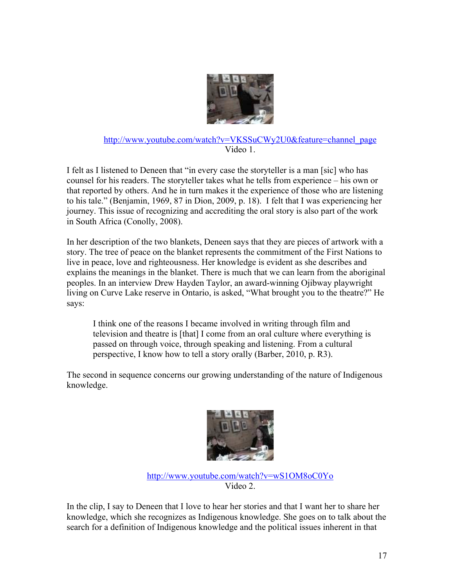

### http://www.youtube.com/watch?v=VKSSuCWy2U0&feature=channel\_page Video 1.

I felt as I listened to Deneen that "in every case the storyteller is a man [sic] who has counsel for his readers. The storyteller takes what he tells from experience – his own or that reported by others. And he in turn makes it the experience of those who are listening to his tale." (Benjamin, 1969, 87 in Dion, 2009, p. 18). I felt that I was experiencing her journey. This issue of recognizing and accrediting the oral story is also part of the work in South Africa (Conolly, 2008).

In her description of the two blankets, Deneen says that they are pieces of artwork with a story. The tree of peace on the blanket represents the commitment of the First Nations to live in peace, love and righteousness. Her knowledge is evident as she describes and explains the meanings in the blanket. There is much that we can learn from the aboriginal peoples. In an interview Drew Hayden Taylor, an award-winning Ojibway playwright living on Curve Lake reserve in Ontario, is asked, "What brought you to the theatre?" He says:

I think one of the reasons I became involved in writing through film and television and theatre is [that] I come from an oral culture where everything is passed on through voice, through speaking and listening. From a cultural perspective, I know how to tell a story orally (Barber, 2010, p. R3).

The second in sequence concerns our growing understanding of the nature of Indigenous knowledge.



http://www.youtube.com/watch?v=wS1OM8oC0Yo Video 2.

In the clip, I say to Deneen that I love to hear her stories and that I want her to share her knowledge, which she recognizes as Indigenous knowledge. She goes on to talk about the search for a definition of Indigenous knowledge and the political issues inherent in that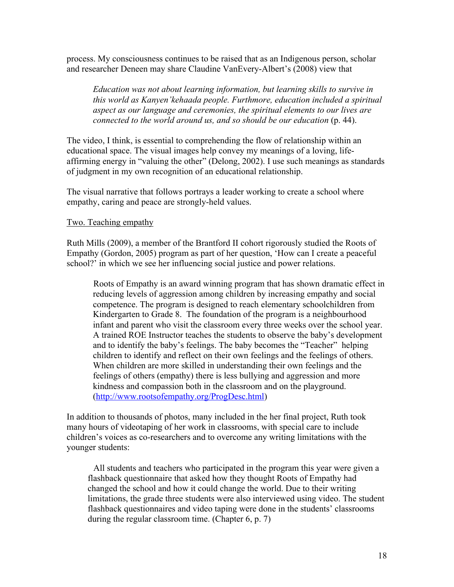process. My consciousness continues to be raised that as an Indigenous person, scholar and researcher Deneen may share Claudine VanEvery-Albert's (2008) view that

*Education was not about learning information, but learning skills to survive in this world as Kanyen'kehaada people. Furthmore, education included a spiritual aspect as our language and ceremonies, the spiritual elements to our lives are connected to the world around us, and so should be our education (p. 44).* 

The video, I think, is essential to comprehending the flow of relationship within an educational space. The visual images help convey my meanings of a loving, lifeaffirming energy in "valuing the other" (Delong, 2002). I use such meanings as standards of judgment in my own recognition of an educational relationship.

The visual narrative that follows portrays a leader working to create a school where empathy, caring and peace are strongly-held values.

## Two. Teaching empathy

Ruth Mills (2009), a member of the Brantford II cohort rigorously studied the Roots of Empathy (Gordon, 2005) program as part of her question, 'How can I create a peaceful school?' in which we see her influencing social justice and power relations.

Roots of Empathy is an award winning program that has shown dramatic effect in reducing levels of aggression among children by increasing empathy and social competence. The program is designed to reach elementary schoolchildren from Kindergarten to Grade 8. The foundation of the program is a neighbourhood infant and parent who visit the classroom every three weeks over the school year. A trained ROE Instructor teaches the students to observe the baby's development and to identify the baby's feelings. The baby becomes the "Teacher" helping children to identify and reflect on their own feelings and the feelings of others. When children are more skilled in understanding their own feelings and the feelings of others (empathy) there is less bullying and aggression and more kindness and compassion both in the classroom and on the playground. (http://www.rootsofempathy.org/ProgDesc.html)

In addition to thousands of photos, many included in the her final project, Ruth took many hours of videotaping of her work in classrooms, with special care to include children's voices as co-researchers and to overcome any writing limitations with the younger students:

All students and teachers who participated in the program this year were given a flashback questionnaire that asked how they thought Roots of Empathy had changed the school and how it could change the world. Due to their writing limitations, the grade three students were also interviewed using video. The student flashback questionnaires and video taping were done in the students' classrooms during the regular classroom time. (Chapter 6, p. 7)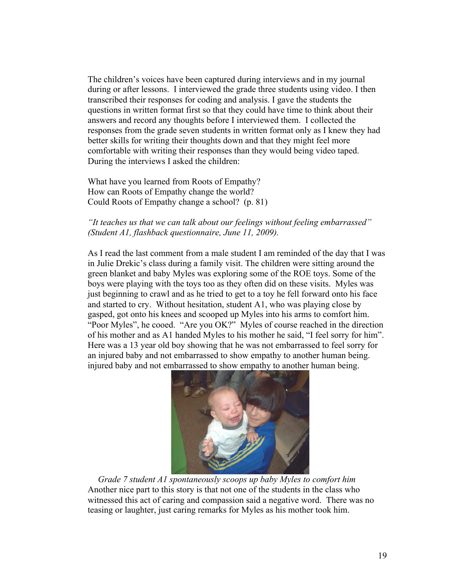The children's voices have been captured during interviews and in my journal during or after lessons. I interviewed the grade three students using video. I then transcribed their responses for coding and analysis. I gave the students the questions in written format first so that they could have time to think about their answers and record any thoughts before I interviewed them. I collected the responses from the grade seven students in written format only as I knew they had better skills for writing their thoughts down and that they might feel more comfortable with writing their responses than they would being video taped. During the interviews I asked the children:

What have you learned from Roots of Empathy? How can Roots of Empathy change the world? Could Roots of Empathy change a school? (p. 81)

#### *"It teaches us that we can talk about our feelings without feeling embarrassed" (Student A1, flashback questionnaire, June 11, 2009).*

As I read the last comment from a male student I am reminded of the day that I was in Julie Drekic's class during a family visit. The children were sitting around the green blanket and baby Myles was exploring some of the ROE toys. Some of the boys were playing with the toys too as they often did on these visits. Myles was just beginning to crawl and as he tried to get to a toy he fell forward onto his face and started to cry. Without hesitation, student A1, who was playing close by gasped, got onto his knees and scooped up Myles into his arms to comfort him. "Poor Myles", he cooed. "Are you OK?" Myles of course reached in the direction of his mother and as A1 handed Myles to his mother he said, "I feel sorry for him". Here was a 13 year old boy showing that he was not embarrassed to feel sorry for an injured baby and not embarrassed to show empathy to another human being. injured baby and not embarrassed to show empathy to another human being.



*Grade 7 student A1 spontaneously scoops up baby Myles to comfort him* Another nice part to this story is that not one of the students in the class who witnessed this act of caring and compassion said a negative word. There was no teasing or laughter, just caring remarks for Myles as his mother took him.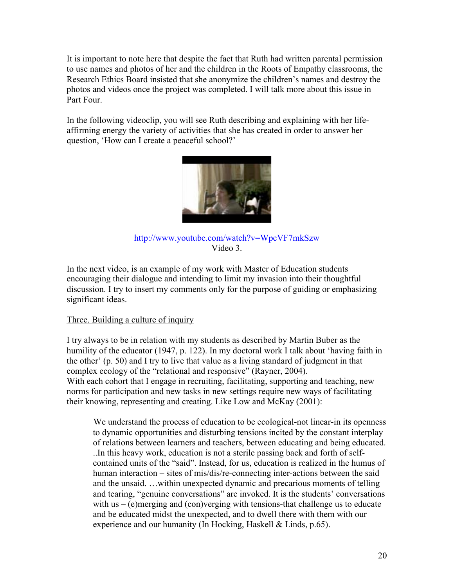It is important to note here that despite the fact that Ruth had written parental permission to use names and photos of her and the children in the Roots of Empathy classrooms, the Research Ethics Board insisted that she anonymize the children's names and destroy the photos and videos once the project was completed. I will talk more about this issue in Part Four.

In the following videoclip, you will see Ruth describing and explaining with her lifeaffirming energy the variety of activities that she has created in order to answer her question, 'How can I create a peaceful school?'



# http://www.youtube.com/watch?v=WpcVF7mkSzw Video 3.

In the next video, is an example of my work with Master of Education students encouraging their dialogue and intending to limit my invasion into their thoughtful discussion. I try to insert my comments only for the purpose of guiding or emphasizing significant ideas.

# Three. Building a culture of inquiry

I try always to be in relation with my students as described by Martin Buber as the humility of the educator (1947, p. 122). In my doctoral work I talk about 'having faith in the other' (p. 50) and I try to live that value as a living standard of judgment in that complex ecology of the "relational and responsive" (Rayner, 2004). With each cohort that I engage in recruiting, facilitating, supporting and teaching, new norms for participation and new tasks in new settings require new ways of facilitating their knowing, representing and creating. Like Low and McKay (2001):

We understand the process of education to be ecological-not linear-in its openness to dynamic opportunities and disturbing tensions incited by the constant interplay of relations between learners and teachers, between educating and being educated. ..In this heavy work, education is not a sterile passing back and forth of selfcontained units of the "said". Instead, for us, education is realized in the humus of human interaction – sites of mis/dis/re-connecting inter-actions between the said and the unsaid. …within unexpected dynamic and precarious moments of telling and tearing, "genuine conversations" are invoked. It is the students' conversations with us – (e)merging and (con)verging with tensions-that challenge us to educate and be educated midst the unexpected, and to dwell there with them with our experience and our humanity (In Hocking, Haskell & Linds, p.65).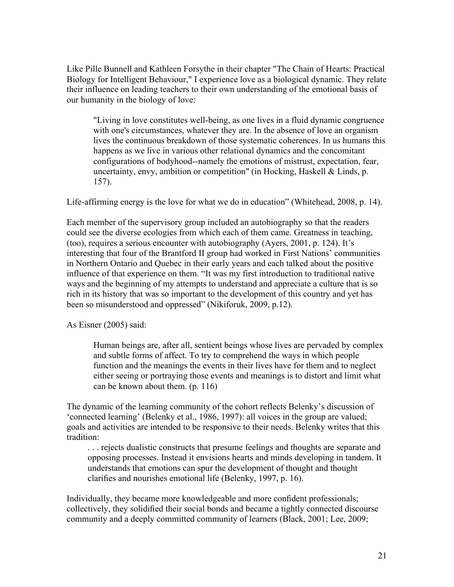Like Pille Bunnell and Kathleen Forsythe in their chapter "The Chain of Hearts: Practical Biology for Intelligent Behaviour," I experience love as a biological dynamic. They relate their influence on leading teachers to their own understanding of the emotional basis of our humanity in the biology of love:

"Living in love constitutes well-being, as one lives in a fluid dynamic congruence with one's circumstances, whatever they are. In the absence of love an organism lives the continuous breakdown of those systematic coherences. In us humans this happens as we live in various other relational dynamics and the concomitant configurations of bodyhood--namely the emotions of mistrust, expectation, fear, uncertainty, envy, ambition or competition" (in Hocking, Haskell & Linds, p. 157).

Life-affirming energy is the love for what we do in education" (Whitehead, 2008, p. 14).

Each member of the supervisory group included an autobiography so that the readers could see the diverse ecologies from which each of them came. Greatness in teaching, (too), requires a serious encounter with autobiography (Ayers, 2001, p. 124). It's interesting that four of the Brantford II group had worked in First Nations' communities in Northern Ontario and Quebec in their early years and each talked about the positive influence of that experience on them. "It was my first introduction to traditional native ways and the beginning of my attempts to understand and appreciate a culture that is so rich in its history that was so important to the development of this country and yet has been so misunderstood and oppressed" (Nikiforuk, 2009, p.12).

As Eisner (2005) said:

Human beings are, after all, sentient beings whose lives are pervaded by complex and subtle forms of affect. To try to comprehend the ways in which people function and the meanings the events in their lives have for them and to neglect either seeing or portraying those events and meanings is to distort and limit what can be known about them. (p. 116)

The dynamic of the learning community of the cohort reflects Belenky's discussion of 'connected learning' (Belenky et al., 1986, 1997): all voices in the group are valued; goals and activities are intended to be responsive to their needs. Belenky writes that this tradition:

. . . rejects dualistic constructs that presume feelings and thoughts are separate and opposing processes. Instead it envisions hearts and minds developing in tandem. It understands that emotions can spur the development of thought and thought clarifies and nourishes emotional life (Belenky, 1997, p. 16).

Individually, they became more knowledgeable and more confident professionals; collectively, they solidified their social bonds and became a tightly connected discourse community and a deeply committed community of learners (Black, 2001; Lee, 2009;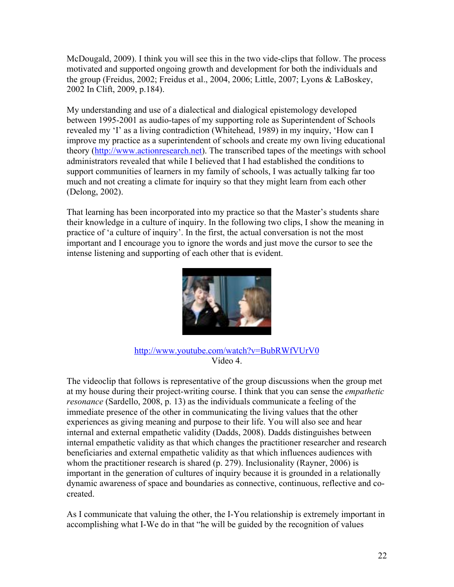McDougald, 2009). I think you will see this in the two vide-clips that follow. The process motivated and supported ongoing growth and development for both the individuals and the group (Freidus, 2002; Freidus et al., 2004, 2006; Little, 2007; Lyons & LaBoskey, 2002 In Clift, 2009, p.184).

My understanding and use of a dialectical and dialogical epistemology developed between 1995-2001 as audio-tapes of my supporting role as Superintendent of Schools revealed my 'I' as a living contradiction (Whitehead, 1989) in my inquiry, 'How can I improve my practice as a superintendent of schools and create my own living educational theory (http://www.actionresearch.net). The transcribed tapes of the meetings with school administrators revealed that while I believed that I had established the conditions to support communities of learners in my family of schools, I was actually talking far too much and not creating a climate for inquiry so that they might learn from each other (Delong, 2002).

That learning has been incorporated into my practice so that the Master's students share their knowledge in a culture of inquiry. In the following two clips, I show the meaning in practice of 'a culture of inquiry'. In the first, the actual conversation is not the most important and I encourage you to ignore the words and just move the cursor to see the intense listening and supporting of each other that is evident.



http://www.youtube.com/watch?v=BubRWfVUrV0 Video 4.

The videoclip that follows is representative of the group discussions when the group met at my house during their project-writing course. I think that you can sense the *empathetic resonance* (Sardello, 2008, p. 13) as the individuals communicate a feeling of the immediate presence of the other in communicating the living values that the other experiences as giving meaning and purpose to their life. You will also see and hear internal and external empathetic validity (Dadds, 2008). Dadds distinguishes between internal empathetic validity as that which changes the practitioner researcher and research beneficiaries and external empathetic validity as that which influences audiences with whom the practitioner research is shared (p. 279). Inclusionality (Rayner, 2006) is important in the generation of cultures of inquiry because it is grounded in a relationally dynamic awareness of space and boundaries as connective, continuous, reflective and cocreated.

As I communicate that valuing the other, the I-You relationship is extremely important in accomplishing what I-We do in that "he will be guided by the recognition of values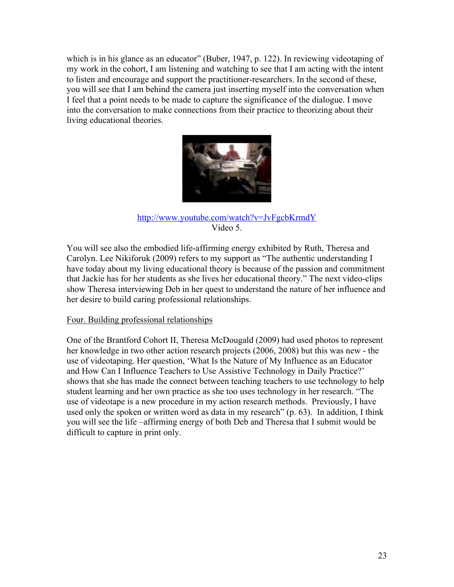which is in his glance as an educator" (Buber, 1947, p. 122). In reviewing videotaping of my work in the cohort, I am listening and watching to see that I am acting with the intent to listen and encourage and support the practitioner-researchers. In the second of these, you will see that I am behind the camera just inserting myself into the conversation when I feel that a point needs to be made to capture the significance of the dialogue. I move into the conversation to make connections from their practice to theorizing about their living educational theories.



## http://www.youtube.com/watch?v=JvFgcbKrmdY Video 5.

You will see also the embodied life-affirming energy exhibited by Ruth, Theresa and Carolyn. Lee Nikiforuk (2009) refers to my support as "The authentic understanding I have today about my living educational theory is because of the passion and commitment that Jackie has for her students as she lives her educational theory." The next video-clips show Theresa interviewing Deb in her quest to understand the nature of her influence and her desire to build caring professional relationships.

# Four. Building professional relationships

One of the Brantford Cohort II, Theresa McDougald (2009) had used photos to represent her knowledge in two other action research projects (2006, 2008) but this was new - the use of videotaping. Her question, 'What Is the Nature of My Influence as an Educator and How Can I Influence Teachers to Use Assistive Technology in Daily Practice?' shows that she has made the connect between teaching teachers to use technology to help student learning and her own practice as she too uses technology in her research. "The use of videotape is a new procedure in my action research methods. Previously, I have used only the spoken or written word as data in my research" (p. 63). In addition, I think you will see the life –affirming energy of both Deb and Theresa that I submit would be difficult to capture in print only.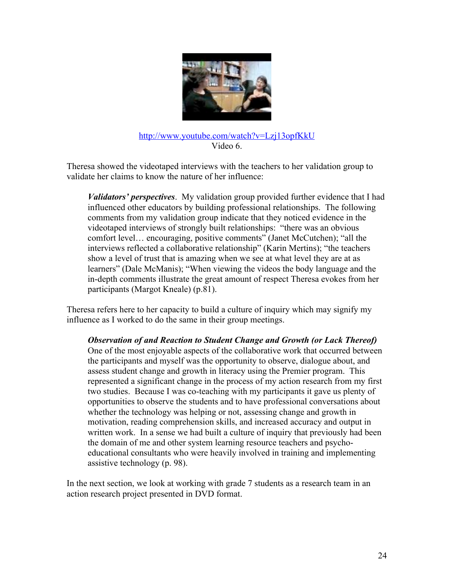

## http://www.youtube.com/watch?v=Lzj13opfKkU Video 6.

Theresa showed the videotaped interviews with the teachers to her validation group to validate her claims to know the nature of her influence:

*Validators' perspectives*. My validation group provided further evidence that I had influenced other educators by building professional relationships. The following comments from my validation group indicate that they noticed evidence in the videotaped interviews of strongly built relationships: "there was an obvious comfort level… encouraging, positive comments" (Janet McCutchen); "all the interviews reflected a collaborative relationship" (Karin Mertins); "the teachers show a level of trust that is amazing when we see at what level they are at as learners" (Dale McManis); "When viewing the videos the body language and the in-depth comments illustrate the great amount of respect Theresa evokes from her participants (Margot Kneale) (p.81).

Theresa refers here to her capacity to build a culture of inquiry which may signify my influence as I worked to do the same in their group meetings.

*Observation of and Reaction to Student Change and Growth (or Lack Thereof)* One of the most enjoyable aspects of the collaborative work that occurred between the participants and myself was the opportunity to observe, dialogue about, and assess student change and growth in literacy using the Premier program. This represented a significant change in the process of my action research from my first two studies. Because I was co-teaching with my participants it gave us plenty of opportunities to observe the students and to have professional conversations about whether the technology was helping or not, assessing change and growth in motivation, reading comprehension skills, and increased accuracy and output in written work. In a sense we had built a culture of inquiry that previously had been the domain of me and other system learning resource teachers and psychoeducational consultants who were heavily involved in training and implementing assistive technology (p. 98).

In the next section, we look at working with grade 7 students as a research team in an action research project presented in DVD format.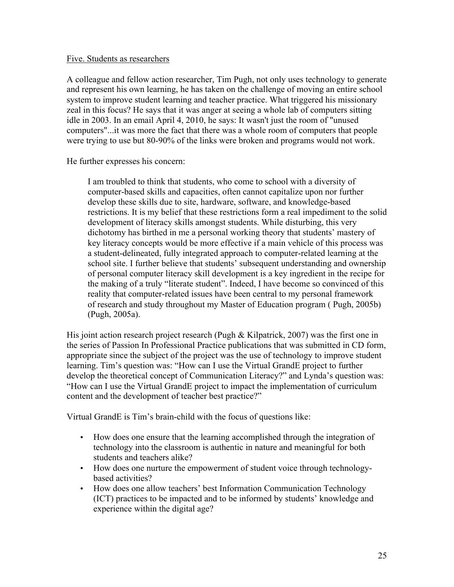#### Five. Students as researchers

A colleague and fellow action researcher, Tim Pugh, not only uses technology to generate and represent his own learning, he has taken on the challenge of moving an entire school system to improve student learning and teacher practice. What triggered his missionary zeal in this focus? He says that it was anger at seeing a whole lab of computers sitting idle in 2003. In an email April 4, 2010, he says: It wasn't just the room of "unused computers"...it was more the fact that there was a whole room of computers that people were trying to use but 80-90% of the links were broken and programs would not work.

He further expresses his concern:

I am troubled to think that students, who come to school with a diversity of computer-based skills and capacities, often cannot capitalize upon nor further develop these skills due to site, hardware, software, and knowledge-based restrictions. It is my belief that these restrictions form a real impediment to the solid development of literacy skills amongst students. While disturbing, this very dichotomy has birthed in me a personal working theory that students' mastery of key literacy concepts would be more effective if a main vehicle of this process was a student-delineated, fully integrated approach to computer-related learning at the school site. I further believe that students' subsequent understanding and ownership of personal computer literacy skill development is a key ingredient in the recipe for the making of a truly "literate student". Indeed, I have become so convinced of this reality that computer-related issues have been central to my personal framework of research and study throughout my Master of Education program ( Pugh, 2005b) (Pugh, 2005a).

His joint action research project research (Pugh & Kilpatrick, 2007) was the first one in the series of Passion In Professional Practice publications that was submitted in CD form, appropriate since the subject of the project was the use of technology to improve student learning. Tim's question was: "How can I use the Virtual GrandE project to further develop the theoretical concept of Communication Literacy?" and Lynda's question was: "How can I use the Virtual GrandE project to impact the implementation of curriculum content and the development of teacher best practice?"

Virtual GrandE is Tim's brain-child with the focus of questions like:

- How does one ensure that the learning accomplished through the integration of technology into the classroom is authentic in nature and meaningful for both students and teachers alike?
- How does one nurture the empowerment of student voice through technologybased activities?
- How does one allow teachers' best Information Communication Technology (ICT) practices to be impacted and to be informed by students' knowledge and experience within the digital age?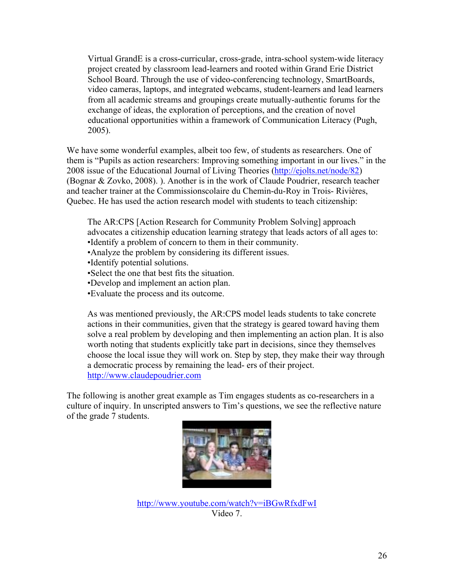Virtual GrandE is a cross-curricular, cross-grade, intra-school system-wide literacy project created by classroom lead-learners and rooted within Grand Erie District School Board. Through the use of video-conferencing technology, SmartBoards, video cameras, laptops, and integrated webcams, student-learners and lead learners from all academic streams and groupings create mutually-authentic forums for the exchange of ideas, the exploration of perceptions, and the creation of novel educational opportunities within a framework of Communication Literacy (Pugh, 2005).

We have some wonderful examples, albeit too few, of students as researchers. One of them is "Pupils as action researchers: Improving something important in our lives." in the 2008 issue of the Educational Journal of Living Theories (http://ejolts.net/node/82) (Bognar & Zovko, 2008). ). Another is in the work of Claude Poudrier, research teacher and teacher trainer at the Commissionscolaire du Chemin-du-Roy in Trois- Rivières, Quebec. He has used the action research model with students to teach citizenship:

The AR:CPS [Action Research for Community Problem Solving] approach advocates a citizenship education learning strategy that leads actors of all ages to: •Identify a problem of concern to them in their community.

- •Analyze the problem by considering its different issues.
- •Identify potential solutions.
- •Select the one that best fits the situation.
- •Develop and implement an action plan.
- •Evaluate the process and its outcome.

As was mentioned previously, the AR:CPS model leads students to take concrete actions in their communities, given that the strategy is geared toward having them solve a real problem by developing and then implementing an action plan. It is also worth noting that students explicitly take part in decisions, since they themselves choose the local issue they will work on. Step by step, they make their way through a democratic process by remaining the lead- ers of their project. http://www.claudepoudrier.com

The following is another great example as Tim engages students as co-researchers in a culture of inquiry. In unscripted answers to Tim's questions, we see the reflective nature of the grade 7 students.



http://www.youtube.com/watch?v=iBGwRfxdFwI Video 7.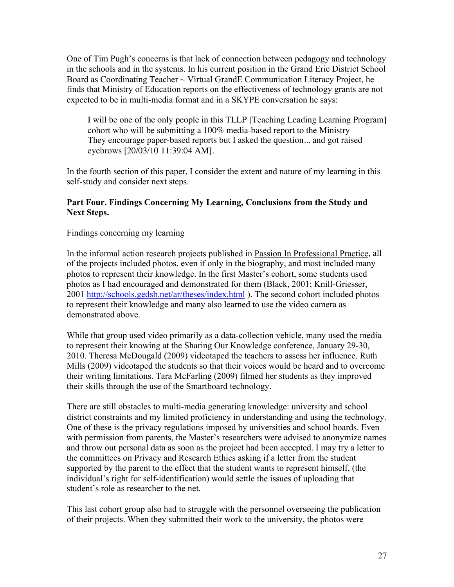One of Tim Pugh's concerns is that lack of connection between pedagogy and technology in the schools and in the systems. In his current position in the Grand Erie District School Board as Coordinating Teacher  $\sim$  Virtual GrandE Communication Literacy Project, he finds that Ministry of Education reports on the effectiveness of technology grants are not expected to be in multi-media format and in a SKYPE conversation he says:

I will be one of the only people in this TLLP [Teaching Leading Learning Program] cohort who will be submitting a 100% media-based report to the Ministry They encourage paper-based reports but I asked the question... and got raised eyebrows [20/03/10 11:39:04 AM].

In the fourth section of this paper, I consider the extent and nature of my learning in this self-study and consider next steps.

# **Part Four. Findings Concerning My Learning, Conclusions from the Study and Next Steps.**

## Findings concerning my learning

In the informal action research projects published in Passion In Professional Practice, all of the projects included photos, even if only in the biography, and most included many photos to represent their knowledge. In the first Master's cohort, some students used photos as I had encouraged and demonstrated for them (Black, 2001; Knill-Griesser, 2001 http://schools.gedsb.net/ar/theses/index.html ). The second cohort included photos to represent their knowledge and many also learned to use the video camera as demonstrated above.

While that group used video primarily as a data-collection vehicle, many used the media to represent their knowing at the Sharing Our Knowledge conference, January 29-30, 2010. Theresa McDougald (2009) videotaped the teachers to assess her influence. Ruth Mills (2009) videotaped the students so that their voices would be heard and to overcome their writing limitations. Tara McFarling (2009) filmed her students as they improved their skills through the use of the Smartboard technology.

There are still obstacles to multi-media generating knowledge: university and school district constraints and my limited proficiency in understanding and using the technology. One of these is the privacy regulations imposed by universities and school boards. Even with permission from parents, the Master's researchers were advised to anonymize names and throw out personal data as soon as the project had been accepted. I may try a letter to the committees on Privacy and Research Ethics asking if a letter from the student supported by the parent to the effect that the student wants to represent himself, (the individual's right for self-identification) would settle the issues of uploading that student's role as researcher to the net.

This last cohort group also had to struggle with the personnel overseeing the publication of their projects. When they submitted their work to the university, the photos were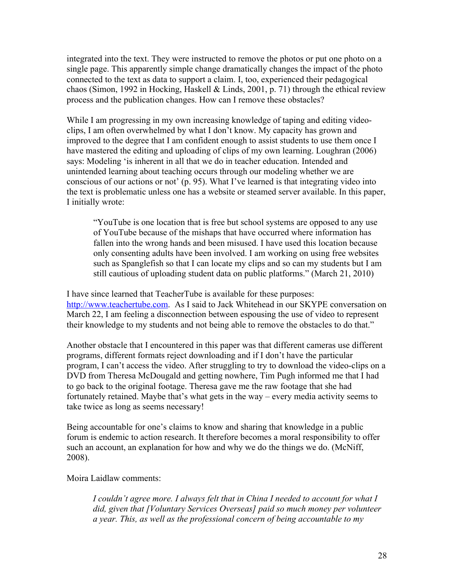integrated into the text. They were instructed to remove the photos or put one photo on a single page. This apparently simple change dramatically changes the impact of the photo connected to the text as data to support a claim. I, too, experienced their pedagogical chaos (Simon, 1992 in Hocking, Haskell & Linds, 2001, p. 71) through the ethical review process and the publication changes. How can I remove these obstacles?

While I am progressing in my own increasing knowledge of taping and editing videoclips, I am often overwhelmed by what I don't know. My capacity has grown and improved to the degree that I am confident enough to assist students to use them once I have mastered the editing and uploading of clips of my own learning. Loughran (2006) says: Modeling 'is inherent in all that we do in teacher education. Intended and unintended learning about teaching occurs through our modeling whether we are conscious of our actions or not' (p. 95). What I've learned is that integrating video into the text is problematic unless one has a website or steamed server available. In this paper, I initially wrote:

"YouTube is one location that is free but school systems are opposed to any use of YouTube because of the mishaps that have occurred where information has fallen into the wrong hands and been misused. I have used this location because only consenting adults have been involved. I am working on using free websites such as Spanglefish so that I can locate my clips and so can my students but I am still cautious of uploading student data on public platforms." (March 21, 2010)

I have since learned that TeacherTube is available for these purposes: http://www.teachertube.com. As I said to Jack Whitehead in our SKYPE conversation on March 22, I am feeling a disconnection between espousing the use of video to represent their knowledge to my students and not being able to remove the obstacles to do that."

Another obstacle that I encountered in this paper was that different cameras use different programs, different formats reject downloading and if I don't have the particular program, I can't access the video. After struggling to try to download the video-clips on a DVD from Theresa McDougald and getting nowhere, Tim Pugh informed me that I had to go back to the original footage. Theresa gave me the raw footage that she had fortunately retained. Maybe that's what gets in the way – every media activity seems to take twice as long as seems necessary!

Being accountable for one's claims to know and sharing that knowledge in a public forum is endemic to action research. It therefore becomes a moral responsibility to offer such an account, an explanation for how and why we do the things we do. (McNiff, 2008).

Moira Laidlaw comments:

*I couldn't agree more. I always felt that in China I needed to account for what I did, given that [Voluntary Services Overseas] paid so much money per volunteer a year. This, as well as the professional concern of being accountable to my*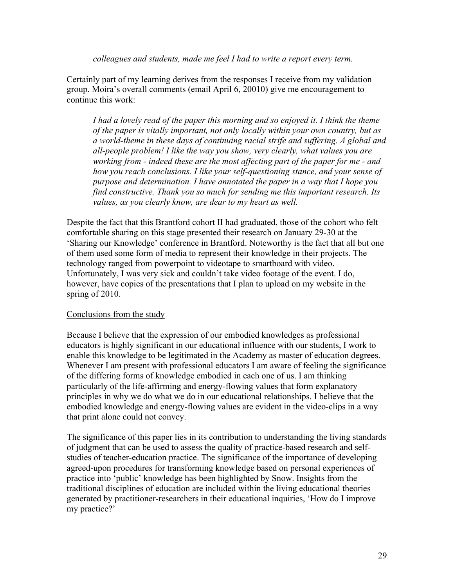*colleagues and students, made me feel I had to write a report every term.*

Certainly part of my learning derives from the responses I receive from my validation group. Moira's overall comments (email April 6, 20010) give me encouragement to continue this work:

*I had a lovely read of the paper this morning and so enjoyed it. I think the theme of the paper is vitally important, not only locally within your own country, but as a world-theme in these days of continuing racial strife and suffering. A global and all-people problem! I like the way you show, very clearly, what values you are working from - indeed these are the most affecting part of the paper for me - and how you reach conclusions. I like your self-questioning stance, and your sense of purpose and determination. I have annotated the paper in a way that I hope you find constructive. Thank you so much for sending me this important research. Its values, as you clearly know, are dear to my heart as well.*

Despite the fact that this Brantford cohort II had graduated, those of the cohort who felt comfortable sharing on this stage presented their research on January 29-30 at the 'Sharing our Knowledge' conference in Brantford. Noteworthy is the fact that all but one of them used some form of media to represent their knowledge in their projects. The technology ranged from powerpoint to videotape to smartboard with video. Unfortunately, I was very sick and couldn't take video footage of the event. I do, however, have copies of the presentations that I plan to upload on my website in the spring of 2010.

# Conclusions from the study

Because I believe that the expression of our embodied knowledges as professional educators is highly significant in our educational influence with our students, I work to enable this knowledge to be legitimated in the Academy as master of education degrees. Whenever I am present with professional educators I am aware of feeling the significance of the differing forms of knowledge embodied in each one of us. I am thinking particularly of the life-affirming and energy-flowing values that form explanatory principles in why we do what we do in our educational relationships. I believe that the embodied knowledge and energy-flowing values are evident in the video-clips in a way that print alone could not convey.

The significance of this paper lies in its contribution to understanding the living standards of judgment that can be used to assess the quality of practice-based research and selfstudies of teacher-education practice. The significance of the importance of developing agreed-upon procedures for transforming knowledge based on personal experiences of practice into 'public' knowledge has been highlighted by Snow. Insights from the traditional disciplines of education are included within the living educational theories generated by practitioner-researchers in their educational inquiries, 'How do I improve my practice?'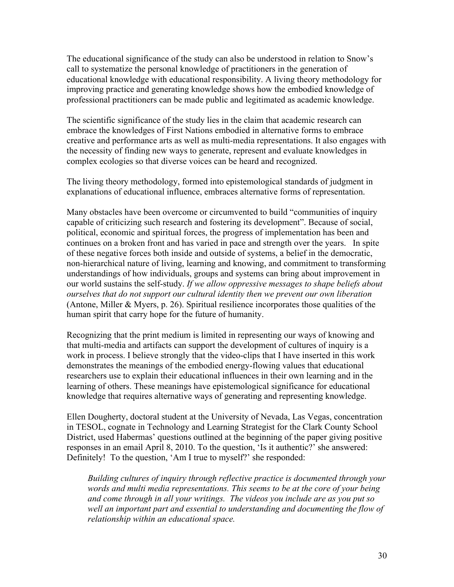The educational significance of the study can also be understood in relation to Snow's call to systematize the personal knowledge of practitioners in the generation of educational knowledge with educational responsibility. A living theory methodology for improving practice and generating knowledge shows how the embodied knowledge of professional practitioners can be made public and legitimated as academic knowledge.

The scientific significance of the study lies in the claim that academic research can embrace the knowledges of First Nations embodied in alternative forms to embrace creative and performance arts as well as multi-media representations. It also engages with the necessity of finding new ways to generate, represent and evaluate knowledges in complex ecologies so that diverse voices can be heard and recognized.

The living theory methodology, formed into epistemological standards of judgment in explanations of educational influence, embraces alternative forms of representation.

Many obstacles have been overcome or circumvented to build "communities of inquiry capable of criticizing such research and fostering its development". Because of social, political, economic and spiritual forces, the progress of implementation has been and continues on a broken front and has varied in pace and strength over the years. In spite of these negative forces both inside and outside of systems, a belief in the democratic, non-hierarchical nature of living, learning and knowing, and commitment to transforming understandings of how individuals, groups and systems can bring about improvement in our world sustains the self-study. *If we allow oppressive messages to shape beliefs about ourselves that do not support our cultural identity then we prevent our own liberation*  (Antone, Miller & Myers, p. 26). Spiritual resilience incorporates those qualities of the human spirit that carry hope for the future of humanity.

Recognizing that the print medium is limited in representing our ways of knowing and that multi-media and artifacts can support the development of cultures of inquiry is a work in process. I believe strongly that the video-clips that I have inserted in this work demonstrates the meanings of the embodied energy-flowing values that educational researchers use to explain their educational influences in their own learning and in the learning of others. These meanings have epistemological significance for educational knowledge that requires alternative ways of generating and representing knowledge.

Ellen Dougherty, doctoral student at the University of Nevada, Las Vegas, concentration in TESOL, cognate in Technology and Learning Strategist for the Clark County School District, used Habermas' questions outlined at the beginning of the paper giving positive responses in an email April 8, 2010. To the question, 'Is it authentic?' she answered: Definitely! To the question, 'Am I true to myself?' she responded:

*Building cultures of inquiry through reflective practice is documented through your words and multi media representations. This seems to be at the core of your being and come through in all your writings. The videos you include are as you put so*  well an important part and essential to understanding and documenting the flow of *relationship within an educational space.*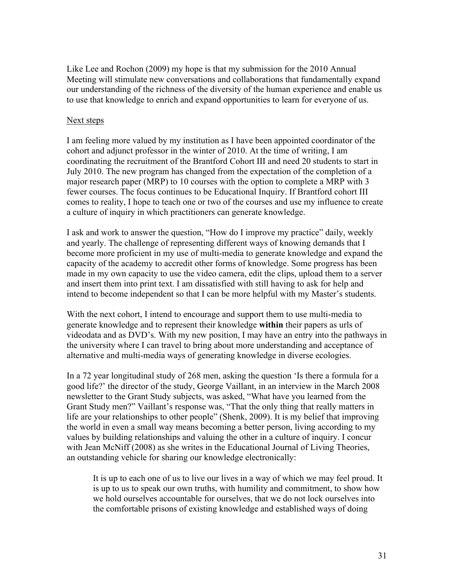Like Lee and Rochon (2009) my hope is that my submission for the 2010 Annual Meeting will stimulate new conversations and collaborations that fundamentally expand our understanding of the richness of the diversity of the human experience and enable us to use that knowledge to enrich and expand opportunities to learn for everyone of us.

#### Next steps

I am feeling more valued by my institution as I have been appointed coordinator of the cohort and adjunct professor in the winter of 2010. At the time of writing, I am coordinating the recruitment of the Brantford Cohort III and need 20 students to start in July 2010. The new program has changed from the expectation of the completion of a major research paper (MRP) to 10 courses with the option to complete a MRP with 3 fewer courses. The focus continues to be Educational Inquiry. If Brantford cohort III comes to reality, I hope to teach one or two of the courses and use my influence to create a culture of inquiry in which practitioners can generate knowledge.

I ask and work to answer the question, "How do I improve my practice" daily, weekly and yearly. The challenge of representing different ways of knowing demands that I become more proficient in my use of multi-media to generate knowledge and expand the capacity of the academy to accredit other forms of knowledge. Some progress has been made in my own capacity to use the video camera, edit the clips, upload them to a server and insert them into print text. I am dissatisfied with still having to ask for help and intend to become independent so that I can be more helpful with my Master's students.

With the next cohort, I intend to encourage and support them to use multi-media to generate knowledge and to represent their knowledge **within** their papers as urls of videodata and as DVD's. With my new position, I may have an entry into the pathways in the university where I can travel to bring about more understanding and acceptance of alternative and multi-media ways of generating knowledge in diverse ecologies.

In a 72 year longitudinal study of 268 men, asking the question 'Is there a formula for a good life?' the director of the study, George Vaillant, in an interview in the March 2008 newsletter to the Grant Study subjects, was asked, "What have you learned from the Grant Study men?" Vaillant's response was, "That the only thing that really matters in life are your relationships to other people" (Shenk, 2009). It is my belief that improving the world in even a small way means becoming a better person, living according to my values by building relationships and valuing the other in a culture of inquiry. I concur with Jean McNiff (2008) as she writes in the Educational Journal of Living Theories, an outstanding vehicle for sharing our knowledge electronically:

It is up to each one of us to live our lives in a way of which we may feel proud. It is up to us to speak our own truths, with humility and commitment, to show how we hold ourselves accountable for ourselves, that we do not lock ourselves into the comfortable prisons of existing knowledge and established ways of doing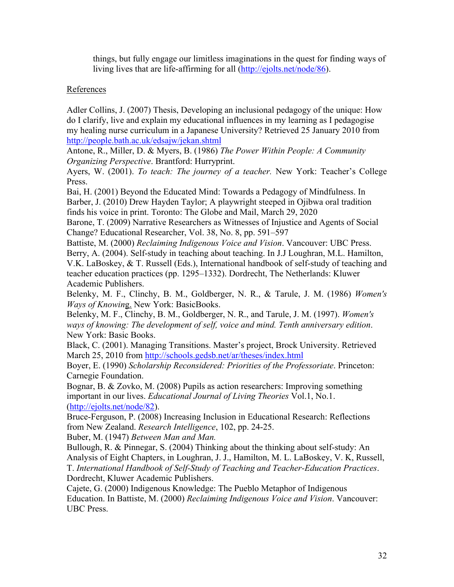things, but fully engage our limitless imaginations in the quest for finding ways of living lives that are life-affirming for all (http://ejolts.net/node/86).

# References

Adler Collins, J. (2007) Thesis, Developing an inclusional pedagogy of the unique: How do I clarify, live and explain my educational influences in my learning as I pedagogise my healing nurse curriculum in a Japanese University? Retrieved 25 January 2010 from http://people.bath.ac.uk/edsajw/jekan.shtml

Antone, R., Miller, D. & Myers, B. (1986) *The Power Within People: A Community Organizing Perspective*. Brantford: Hurryprint.

Ayers, W. (2001). *To teach: The journey of a teacher.* New York: Teacher's College Press.

Bai, H. (2001) Beyond the Educated Mind: Towards a Pedagogy of Mindfulness. In Barber, J. (2010) Drew Hayden Taylor; A playwright steeped in Ojibwa oral tradition finds his voice in print. Toronto: The Globe and Mail, March 29, 2020

Barone, T. (2009) Narrative Researchers as Witnesses of Injustice and Agents of Social Change? Educational Researcher, Vol. 38, No. 8, pp. 591–597

Battiste, M. (2000) *Reclaiming Indigenous Voice and Vision*. Vancouver: UBC Press. Berry, A. (2004). Self-study in teaching about teaching. In J.J Loughran, M.L. Hamilton, V.K. LaBoskey, & T. Russell (Eds.), International handbook of self-study of teaching and teacher education practices (pp. 1295–1332). Dordrecht, The Netherlands: Kluwer Academic Publishers.

Belenky, M. F., Clinchy, B. M., Goldberger, N. R., & Tarule, J. M. (1986) *Women's Ways of Knowin*g. New York: BasicBooks.

Belenky, M. F., Clinchy, B. M., Goldberger, N. R., and Tarule, J. M. (1997). *Women's ways of knowing: The development of self, voice and mind. Tenth anniversary edition*. New York: Basic Books.

Black, C. (2001). Managing Transitions. Master's project, Brock University. Retrieved March 25, 2010 from http://schools.gedsb.net/ar/theses/index.html

Boyer, E. (1990) *Scholarship Reconsidered: Priorities of the Professoriate*. Princeton: Carnegie Foundation.

Bognar, B. & Zovko, M. (2008) Pupils as action researchers: Improving something important in our lives. *Educational Journal of Living Theories* Vol.1, No.1. (http://ejolts.net/node/82).

Bruce-Ferguson, P. (2008) Increasing Inclusion in Educational Research: Reflections from New Zealand. *Research Intelligence*, 102, pp. 24-25.

Buber, M. (1947) *Between Man and Man.*

Bullough, R. & Pinnegar, S. (2004) Thinking about the thinking about self-study: An Analysis of Eight Chapters, in Loughran, J. J., Hamilton, M. L. LaBoskey, V. K, Russell, T. *International Handbook of Self-Study of Teaching and Teacher-Education Practices*. Dordrecht, Kluwer Academic Publishers.

Cajete, G. (2000) Indigenous Knowledge: The Pueblo Metaphor of Indigenous Education. In Battiste, M. (2000) *Reclaiming Indigenous Voice and Vision*. Vancouver: UBC Press.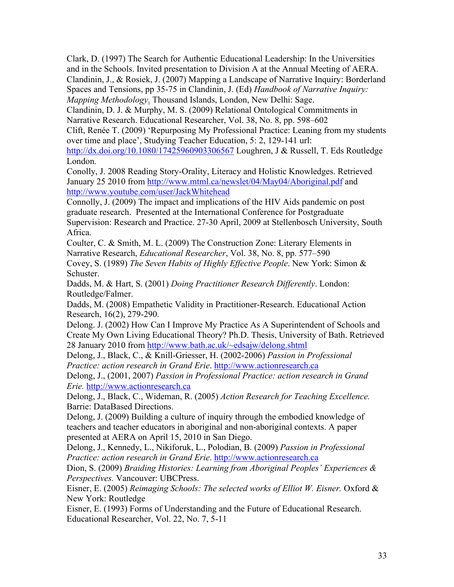Clark, D. (1997) The Search for Authentic Educational Leadership: In the Universities and in the Schools. Invited presentation to Division A at the Annual Meeting of AERA. Clandinin, J., & Rosiek, J. (2007) Mapping a Landscape of Narrative Inquiry: Borderland Spaces and Tensions, pp 35-75 in Clandinin, J. (Ed) *Handbook of Narrative Inquiry: Mapping Methodology*. Thousand Islands, London, New Delhi: Sage.

Clandinin, D. J. & Murphy, M. S. (2009) Relational Ontological Commitments in Narrative Research. Educational Researcher, Vol. 38, No. 8, pp. 598–602

Clift, Renée T. (2009) 'Repurposing My Professional Practice: Leaning from my students over time and place', Studying Teacher Education, 5: 2, 129-141 url:

http://dx.doi.org/10.1080/17425960903306567 Loughren, J & Russell, T. Eds Routledge London.

Conolly, J. 2008 Reading Story-Orality, Literacy and Holistic Knowledges. Retrieved January 25 2010 from http://www.mtml.ca/newslet/04/May04/Aboriginal.pdf and http://www.youtube.com/user/JackWhitehead

Connolly, J. (2009) The impact and implications of the HIV Aids pandemic on post graduate research. Presented at the International Conference for Postgraduate Supervision: Research and Practice. 27-30 April, 2009 at Stellenbosch University, South Africa.

Coulter, C. & Smith, M. L. (2009) The Construction Zone: Literary Elements in Narrative Research, *Educational Researcher*, Vol. 38, No. 8, pp. 577–590

Covey, S. (1989) *The Seven Habits of Highly Effective People*. New York: Simon & Schuster.

Dadds, M. & Hart, S. (2001) *Doing Practitioner Research Differently*. London: Routledge/Falmer.

Dadds, M. (2008) Empathetic Validity in Practitioner-Research. Educational Action Research, 16(2), 279-290.

Delong. J. (2002) How Can I Improve My Practice As A Superintendent of Schools and Create My Own Living Educational Theory? Ph.D. Thesis, University of Bath. Retrieved 28 January 2010 from http://www.bath.ac.uk/~edsajw/delong.shtml

Delong, J., Black, C., & Knill-Griesser, H. (2002-2006) *Passion in Professional Practice: action research in Grand Erie*. http://www.actionresearch.ca

Delong, J., (2001, 2007) *Passion in Professional Practice: action research in Grand Erie.* http://www.actionresearch.ca

Delong, J., Black, C., Wideman, R. (2005) *Action Research for Teaching Excellence.* Barrie: DataBased Directions.

Delong, J. (2009) Building a culture of inquiry through the embodied knowledge of teachers and teacher educators in aboriginal and non-aboriginal contexts. A paper presented at AERA on April 15, 2010 in San Diego.

Delong, J., Kennedy, L., Nikiforuk, L., Polodian, B. (2009) *Passion in Professional Practice: action research in Grand Erie*. http://www.actionresearch.ca

Dion, S. (2009) *Braiding Histories: Learning from Aboriginal Peoples' Experiences & Perspectives.* Vancouver: UBCPress.

Eisner, E. (2005) *Reimaging Schools: The selected works of Elliot W. Eisner.* Oxford & New York: Routledge

Eisner, E. (1993) Forms of Understanding and the Future of Educational Research. Educational Researcher, Vol. 22, No. 7, 5-11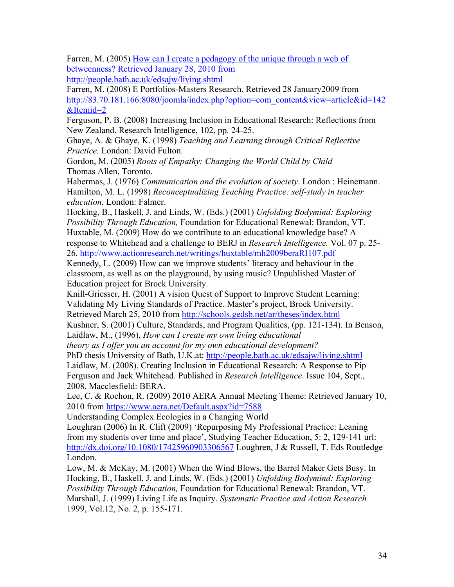Farren, M. (2005) How can I create a pedagogy of the unique through a web of betweenness? Retrieved January 28, 2010 from http://people.bath.ac.uk/edsajw/living.shtml

Farren, M. (2008) E Portfolios-Masters Research. Retrieved 28 January2009 from http://83.70.181.166:8080/joomla/index.php?option=com\_content&view=article&id=142

&Itemid=2

Ferguson, P. B. (2008) Increasing Inclusion in Educational Research: Reflections from New Zealand. Research Intelligence, 102, pp. 24-25.

Ghaye, A. & Ghaye, K. (1998) *Teaching and Learning through Critical Reflective Practice.* London: David Fulton.

Gordon, M. (2005) *Roots of Empathy: Changing the World Child by Child* Thomas Allen, Toronto.

Habermas, J. (1976) *Communication and the evolution of society*. London : Heinemann. Hamilton, M. L. (1998) *Reconceptualizing Teaching Practice: self-study in teacher education.* London: Falmer.

Hocking, B., Haskell, J. and Linds, W. (Eds.) (2001) *Unfolding Bodymind: Exploring Possibility Through Education,* Foundation for Educational Renewal: Brandon, VT. Huxtable, M. (2009) How do we contribute to an educational knowledge base? A response to Whitehead and a challenge to BERJ in *Research Intelligence.* Vol. 07 p. 25- 26. http://www.actionresearch.net/writings/huxtable/mh2009beraRI107.pdf

Kennedy, L. (2009) How can we improve students' literacy and behaviour in the classroom, as well as on the playground, by using music? Unpublished Master of Education project for Brock University.

Knill-Griesser, H. (2001) A vision Quest of Support to Improve Student Learning: Validating My Living Standards of Practice. Master's project, Brock University. Retrieved March 25, 2010 from http://schools.gedsb.net/ar/theses/index.html

Kushner, S. (2001) Culture, Standards, and Program Qualities, (pp. 121-134). In Benson, Laidlaw, M., (1996), *How can I create my own living educational*

*theory as I offer you an account for my own educational development?*

PhD thesis University of Bath, U.K.at: http://people.bath.ac.uk/edsajw/living.shtml

Laidlaw, M. (2008). Creating Inclusion in Educational Research: A Response to Pip Ferguson and Jack Whitehead. Published in *Research Intelligence*. Issue 104, Sept., 2008. Macclesfield: BERA.

Lee, C. & Rochon, R. (2009) 2010 AERA Annual Meeting Theme: Retrieved January 10, 2010 from https://www.aera.net/Default.aspx?id=7588

Understanding Complex Ecologies in a Changing World

Loughran (2006) In R. Clift (2009) 'Repurposing My Professional Practice: Leaning from my students over time and place', Studying Teacher Education, 5: 2, 129-141 url: http://dx.doi.org/10.1080/17425960903306567 Loughren, J & Russell, T. Eds Routledge London.

Low, M. & McKay, M. (2001) When the Wind Blows, the Barrel Maker Gets Busy. In Hocking, B., Haskell, J. and Linds, W. (Eds.) (2001) *Unfolding Bodymind: Exploring Possibility Through Education,* Foundation for Educational Renewal: Brandon, VT. Marshall, J. (1999) Living Life as Inquiry. *Systematic Practice and Action Research* 1999, Vol.12, No. 2, p. 155-171.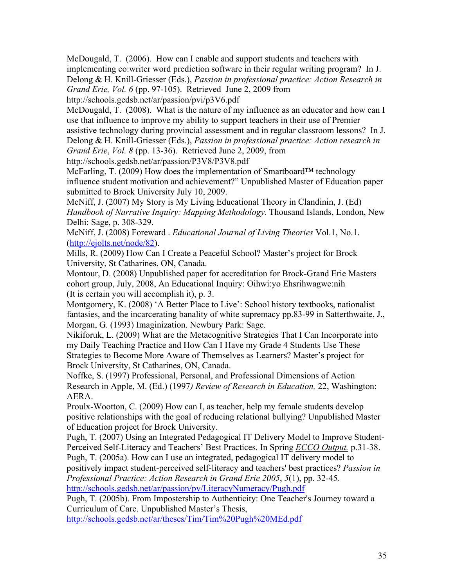McDougald, T. (2006). How can I enable and support students and teachers with implementing co:writer word prediction software in their regular writing program? In J. Delong & H. Knill-Griesser (Eds.), *Passion in professional practice: Action Research in Grand Erie, Vol. 6* (pp. 97-105). Retrieved June 2, 2009 from http://schools.gedsb.net/ar/passion/pvi/p3V6.pdf

McDougald, T. (2008). What is the nature of my influence as an educator and how can I use that influence to improve my ability to support teachers in their use of Premier assistive technology during provincial assessment and in regular classroom lessons? In J.

Delong & H. Knill-Griesser (Eds.), *Passion in professional practice: Action research in Grand Erie*, *Vol. 8* (pp. 13-36). Retrieved June 2, 2009, from

http://schools.gedsb.net/ar/passion/P3V8/P3V8.pdf

McFarling, T. (2009) How does the implementation of Smartboard™ technology influence student motivation and achievement?" Unpublished Master of Education paper submitted to Brock University July 10, 2009.

McNiff, J. (2007) My Story is My Living Educational Theory in Clandinin, J. (Ed) *Handbook of Narrative Inquiry: Mapping Methodology.* Thousand Islands, London, New Delhi: Sage, p. 308-329.

McNiff, J. (2008) Foreward . *Educational Journal of Living Theories* Vol.1, No.1. (http://ejolts.net/node/82).

Mills, R. (2009) How Can I Create a Peaceful School? Master's project for Brock University, St Catharines, ON, Canada.

Montour, D. (2008) Unpublished paper for accreditation for Brock-Grand Erie Masters cohort group, July, 2008, An Educational Inquiry: Oihwi:yo Ehsrihwagwe:nih (It is certain you will accomplish it), p. 3.

Montgomery, K. (2008) 'A Better Place to Live': School history textbooks, nationalist fantasies, and the incarcerating banality of white supremacy pp.83-99 in Satterthwaite, J., Morgan, G. (1993) Imaginization. Newbury Park: Sage.

Nikiforuk, L. (2009) What are the Metacognitive Strategies That I Can Incorporate into my Daily Teaching Practice and How Can I Have my Grade 4 Students Use These Strategies to Become More Aware of Themselves as Learners? Master's project for Brock University, St Catharines, ON, Canada.

Noffke, S. (1997) Professional, Personal, and Professional Dimensions of Action Research in Apple, M. (Ed.) (1997*) Review of Research in Education,* 22, Washington: AERA.

Proulx-Wootton, C. (2009) How can I, as teacher, help my female students develop positive relationships with the goal of reducing relational bullying? Unpublished Master of Education project for Brock University.

Pugh, T. (2007) Using an Integrated Pedagogical IT Delivery Model to Improve Student-Perceived Self-Literacy and Teachers' Best Practices. In Spring *ECCO Output.* p.31-38. Pugh, T. (2005a). How can I use an integrated, pedagogical IT delivery model to

positively impact student-perceived self-literacy and teachers' best practices? *Passion in Professional Practice: Action Research in Grand Erie 2005*, *5*(1), pp. 32-45.

http://schools.gedsb.net/ar/passion/pv/LiteracyNumeracy/Pugh.pdf

Pugh, T. (2005b). From Impostership to Authenticity: One Teacher's Journey toward a Curriculum of Care. Unpublished Master's Thesis,

http://schools.gedsb.net/ar/theses/Tim/Tim%20Pugh%20MEd.pdf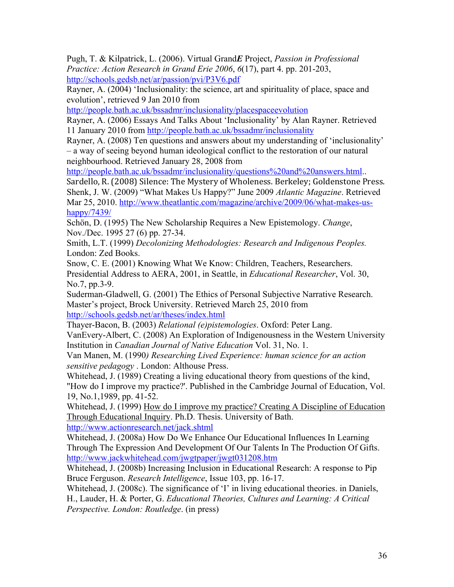Pugh, T. & Kilpatrick, L. (2006). Virtual Grand*E* Project, *Passion in Professional Practice: Action Research in Grand Erie 2006*, *6*(17), part 4. pp. 201-203, http://schools.gedsb.net/ar/passion/pvi/P3V6.pdf

Rayner, A. (2004) 'Inclusionality: the science, art and spirituality of place, space and evolution', retrieved 9 Jan 2010 from

http://people.bath.ac.uk/bssadmr/inclusionality/placespaceevolution

Rayner, A. (2006) Essays And Talks About 'Inclusionality' by Alan Rayner. Retrieved 11 January 2010 from http://people.bath.ac.uk/bssadmr/inclusionality

Rayner, A. (2008) Ten questions and answers about my understanding of 'inclusionality' – a way of seeing beyond human ideological conflict to the restoration of our natural neighbourhood. Retrieved January 28, 2008 from

http://people.bath.ac.uk/bssadmr/inclusionality/questions%20and%20answers.html...

Sardello, R. (2008) Silence: The Mystery of Wholeness. Berkeley; Goldenstone Press. Shenk, J. W. (2009) "What Makes Us Happy?" June 2009 *Atlantic Magazine*. Retrieved Mar 25, 2010. http://www.theatlantic.com/magazine/archive/2009/06/what-makes-ushappy/7439/

Schön, D. (1995) The New Scholarship Requires a New Epistemology. *Change*, Nov./Dec. 1995 27 (6) pp. 27-34.

Smith, L.T. (1999) *Decolonizing Methodologies: Research and Indigenous Peoples.* London: Zed Books.

Snow, C. E. (2001) Knowing What We Know: Children, Teachers, Researchers. Presidential Address to AERA, 2001, in Seattle, in *Educational Researcher*, Vol. 30, No.7, pp.3-9.

Suderman-Gladwell, G. (2001) The Ethics of Personal Subjective Narrative Research. Master's project, Brock University. Retrieved March 25, 2010 from http://schools.gedsb.net/ar/theses/index.html

Thayer-Bacon, B. (2003) *Relational (e)pistemologies*. Oxford: Peter Lang.

VanEvery-Albert, C. (2008) An Exploration of Indigenousness in the Western University Institution in *Canadian Journal of Native Education* Vol. 31, No. 1.

Van Manen, M. (1990*) Researching Lived Experience: human science for an action sensitive pedagogy* . London: Althouse Press.

Whitehead, J. (1989) Creating a living educational theory from questions of the kind, "How do I improve my practice?'. Published in the Cambridge Journal of Education, Vol. 19, No.1,1989, pp. 41-52.

Whitehead, J. (1999) How do I improve my practice? Creating A Discipline of Education Through Educational Inquiry. Ph.D. Thesis. University of Bath. http://www.actionresearch.net/jack.shtml

Whitehead, J. (2008a) How Do We Enhance Our Educational Influences In Learning Through The Expression And Development Of Our Talents In The Production Of Gifts. http://www.jackwhitehead.com/jwgtpaper/jwgt031208.htm

Whitehead, J. (2008b) Increasing Inclusion in Educational Research: A response to Pip Bruce Ferguson. *Research Intelligence*, Issue 103, pp. 16-17.

Whitehead, J. (2008c). The significance of 'I' in living educational theories. in Daniels, H., Lauder, H. & Porter, G. *Educational Theories, Cultures and Learning: A Critical Perspective. London: Routledge*. (in press)